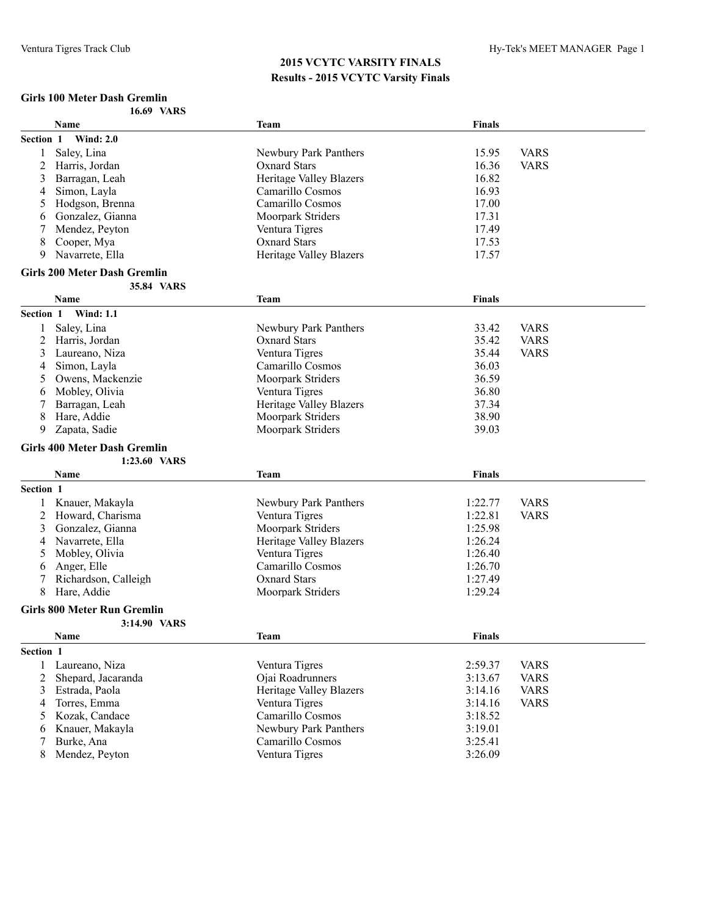#### **Girls 100 Meter Dash Gremlin 16.69 VARS**

| <b>Wind: 2.0</b><br>Section 1<br>Saley, Lina<br>15.95<br>Newbury Park Panthers<br>Harris, Jordan<br><b>Oxnard Stars</b><br>16.36<br>2<br>16.82<br>Barragan, Leah<br><b>Heritage Valley Blazers</b><br>3<br>16.93<br>Simon, Layla<br>Camarillo Cosmos<br>4<br>17.00<br>Hodgson, Brenna<br>Camarillo Cosmos<br>5<br>17.31<br>Gonzalez, Gianna<br>Moorpark Striders<br>6 | <b>VARS</b><br><b>VARS</b> |
|-----------------------------------------------------------------------------------------------------------------------------------------------------------------------------------------------------------------------------------------------------------------------------------------------------------------------------------------------------------------------|----------------------------|
|                                                                                                                                                                                                                                                                                                                                                                       |                            |
|                                                                                                                                                                                                                                                                                                                                                                       |                            |
|                                                                                                                                                                                                                                                                                                                                                                       |                            |
|                                                                                                                                                                                                                                                                                                                                                                       |                            |
|                                                                                                                                                                                                                                                                                                                                                                       |                            |
|                                                                                                                                                                                                                                                                                                                                                                       |                            |
|                                                                                                                                                                                                                                                                                                                                                                       |                            |
| 17.49<br>Mendez, Peyton<br>Ventura Tigres                                                                                                                                                                                                                                                                                                                             |                            |
| Cooper, Mya<br><b>Oxnard Stars</b><br>17.53<br>8                                                                                                                                                                                                                                                                                                                      |                            |
| 17.57<br>Navarrete, Ella<br><b>Heritage Valley Blazers</b><br>9                                                                                                                                                                                                                                                                                                       |                            |
| <b>Girls 200 Meter Dash Gremlin</b>                                                                                                                                                                                                                                                                                                                                   |                            |
| 35.84 VARS                                                                                                                                                                                                                                                                                                                                                            |                            |
| <b>Name</b><br><b>Finals</b><br><b>Team</b>                                                                                                                                                                                                                                                                                                                           |                            |
| Section 1<br><b>Wind: 1.1</b>                                                                                                                                                                                                                                                                                                                                         |                            |
| Saley, Lina<br>Newbury Park Panthers<br>33.42<br>1                                                                                                                                                                                                                                                                                                                    | <b>VARS</b>                |
| 2<br>Harris, Jordan<br><b>Oxnard Stars</b><br>35.42                                                                                                                                                                                                                                                                                                                   | <b>VARS</b>                |
| Ventura Tigres<br>35.44<br>Laureano, Niza<br>3                                                                                                                                                                                                                                                                                                                        | <b>VARS</b>                |
| Camarillo Cosmos<br>36.03<br>Simon, Layla<br>4                                                                                                                                                                                                                                                                                                                        |                            |
| 36.59<br>Owens, Mackenzie<br>Moorpark Striders<br>5                                                                                                                                                                                                                                                                                                                   |                            |
| 36.80<br>Mobley, Olivia<br>Ventura Tigres<br>6                                                                                                                                                                                                                                                                                                                        |                            |
| 37.34<br>Barragan, Leah<br><b>Heritage Valley Blazers</b>                                                                                                                                                                                                                                                                                                             |                            |
| Hare, Addie<br>Moorpark Striders<br>38.90                                                                                                                                                                                                                                                                                                                             |                            |
|                                                                                                                                                                                                                                                                                                                                                                       |                            |
| 8                                                                                                                                                                                                                                                                                                                                                                     |                            |
| 39.03<br>Zapata, Sadie<br>Moorpark Striders<br>9                                                                                                                                                                                                                                                                                                                      |                            |
| <b>Girls 400 Meter Dash Gremlin</b>                                                                                                                                                                                                                                                                                                                                   |                            |
| 1:23.60 VARS                                                                                                                                                                                                                                                                                                                                                          |                            |
| <b>Finals</b><br><b>Name</b><br><b>Team</b>                                                                                                                                                                                                                                                                                                                           |                            |
| Section 1                                                                                                                                                                                                                                                                                                                                                             |                            |
| Knauer, Makayla<br>Newbury Park Panthers<br>1:22.77                                                                                                                                                                                                                                                                                                                   | <b>VARS</b>                |
| Howard, Charisma<br>Ventura Tigres<br>1:22.81<br>2                                                                                                                                                                                                                                                                                                                    | <b>VARS</b>                |
| Gonzalez, Gianna<br>Moorpark Striders<br>1:25.98<br>3                                                                                                                                                                                                                                                                                                                 |                            |
| Navarrete, Ella<br><b>Heritage Valley Blazers</b><br>1:26.24<br>4                                                                                                                                                                                                                                                                                                     |                            |
| Mobley, Olivia<br>Ventura Tigres<br>1:26.40<br>5                                                                                                                                                                                                                                                                                                                      |                            |
| Anger, Elle<br>Camarillo Cosmos<br>1:26.70<br>6                                                                                                                                                                                                                                                                                                                       |                            |
| Richardson, Calleigh<br><b>Oxnard Stars</b><br>1:27.49<br>7                                                                                                                                                                                                                                                                                                           |                            |
| 1:29.24<br>8<br>Hare, Addie<br>Moorpark Striders                                                                                                                                                                                                                                                                                                                      |                            |
|                                                                                                                                                                                                                                                                                                                                                                       |                            |
| <b>Girls 800 Meter Run Gremlin</b><br>3:14.90 VARS                                                                                                                                                                                                                                                                                                                    |                            |
| Name<br><b>Team</b><br><b>Finals</b>                                                                                                                                                                                                                                                                                                                                  |                            |
| Section 1                                                                                                                                                                                                                                                                                                                                                             |                            |
| Ventura Tigres<br>Laureano, Niza<br>2:59.37<br>1                                                                                                                                                                                                                                                                                                                      | <b>VARS</b>                |
| Ojai Roadrunners<br>2<br>Shepard, Jacaranda<br>3:13.67                                                                                                                                                                                                                                                                                                                | <b>VARS</b>                |
| Estrada, Paola<br><b>Heritage Valley Blazers</b><br>3<br>3:14.16                                                                                                                                                                                                                                                                                                      | <b>VARS</b>                |
| Ventura Tigres<br>4                                                                                                                                                                                                                                                                                                                                                   |                            |
| Torres, Emma<br>3:14.16<br>Camarillo Cosmos<br>5                                                                                                                                                                                                                                                                                                                      | <b>VARS</b>                |
| Kozak, Candace<br>3:18.52<br>Knauer, Makayla<br>Newbury Park Panthers<br>6                                                                                                                                                                                                                                                                                            |                            |
| 3:19.01<br>3:25.41<br>Burke, Ana<br>Camarillo Cosmos<br>7                                                                                                                                                                                                                                                                                                             |                            |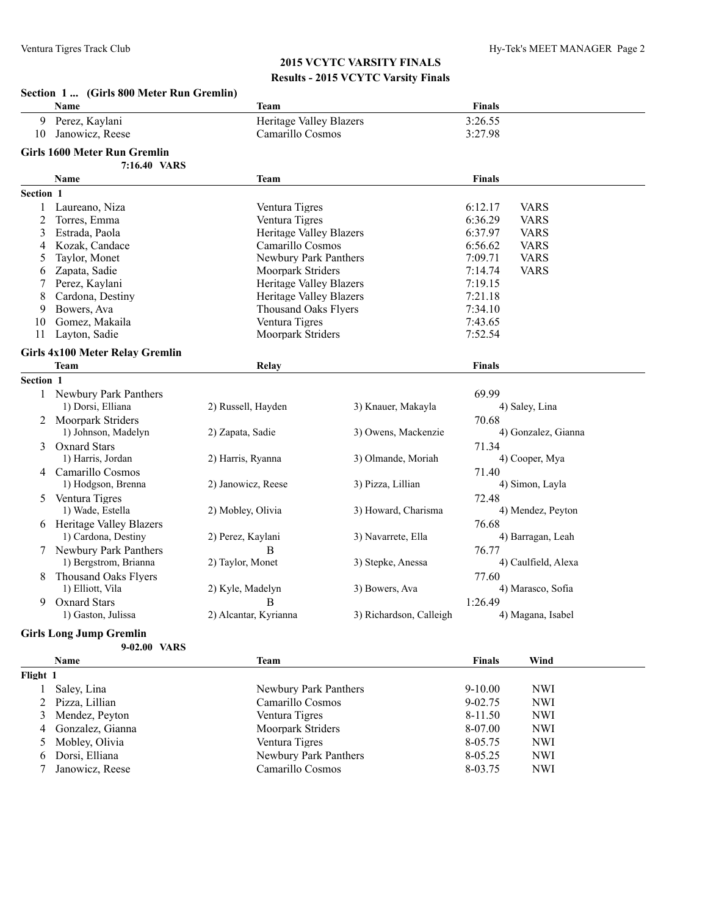|                      | Section 1  (Girls 800 Meter Run Gremlin) |                                |                         |                        |
|----------------------|------------------------------------------|--------------------------------|-------------------------|------------------------|
|                      | <b>Name</b>                              | <b>Team</b>                    |                         | <b>Finals</b>          |
| 9                    | Perez, Kaylani                           | <b>Heritage Valley Blazers</b> |                         | 3:26.55                |
| 10                   | Janowicz, Reese                          | Camarillo Cosmos               |                         | 3:27.98                |
|                      | Girls 1600 Meter Run Gremlin             |                                |                         |                        |
|                      | 7:16.40 VARS                             |                                |                         |                        |
|                      | Name                                     | <b>Team</b>                    |                         | <b>Finals</b>          |
| Section 1            |                                          |                                |                         |                        |
| 1                    | Laureano, Niza                           | Ventura Tigres                 |                         | 6:12.17<br><b>VARS</b> |
| 2                    | Torres, Emma                             | Ventura Tigres                 |                         | 6:36.29<br><b>VARS</b> |
| 3                    | Estrada, Paola                           | <b>Heritage Valley Blazers</b> |                         | 6:37.97<br><b>VARS</b> |
| 4                    | Kozak, Candace                           | Camarillo Cosmos               |                         | 6:56.62<br><b>VARS</b> |
| 5                    | Taylor, Monet                            | Newbury Park Panthers          |                         | 7:09.71<br><b>VARS</b> |
| 6                    | Zapata, Sadie                            | Moorpark Striders              |                         | <b>VARS</b><br>7:14.74 |
| 7                    | Perez, Kaylani                           | Heritage Valley Blazers        |                         | 7:19.15                |
| 8                    | Cardona, Destiny                         | <b>Heritage Valley Blazers</b> |                         | 7:21.18                |
| 9                    | Bowers, Ava                              | <b>Thousand Oaks Flyers</b>    |                         | 7:34.10                |
| 10                   | Gomez, Makaila                           | Ventura Tigres                 |                         | 7:43.65                |
| 11                   | Layton, Sadie                            | Moorpark Striders              |                         | 7:52.54                |
|                      | <b>Girls 4x100 Meter Relay Gremlin</b>   |                                |                         |                        |
|                      | Team                                     | Relay                          |                         | <b>Finals</b>          |
| Section 1            |                                          |                                |                         |                        |
| 1                    | Newbury Park Panthers                    |                                |                         | 69.99                  |
|                      | 1) Dorsi, Elliana                        | 2) Russell, Hayden             | 3) Knauer, Makayla      | 4) Saley, Lina         |
| 2                    | Moorpark Striders                        |                                |                         | 70.68                  |
|                      | 1) Johnson, Madelyn                      | 2) Zapata, Sadie               | 3) Owens, Mackenzie     | 4) Gonzalez, Gianna    |
| 3                    | <b>Oxnard Stars</b>                      |                                |                         | 71.34                  |
|                      | 1) Harris, Jordan                        | 2) Harris, Ryanna              | 3) Olmande, Moriah      | 4) Cooper, Mya         |
|                      | 4 Camarillo Cosmos                       |                                |                         | 71.40                  |
|                      | 1) Hodgson, Brenna                       | 2) Janowicz, Reese             | 3) Pizza, Lillian       | 4) Simon, Layla        |
| 5                    | Ventura Tigres                           |                                |                         | 72.48                  |
|                      | 1) Wade, Estella                         | 2) Mobley, Olivia              | 3) Howard, Charisma     | 4) Mendez, Peyton      |
|                      | 6 Heritage Valley Blazers                |                                |                         | 76.68                  |
|                      | 1) Cardona, Destiny                      | 2) Perez, Kaylani              | 3) Navarrete, Ella      | 4) Barragan, Leah      |
|                      | 7 Newbury Park Panthers                  | B                              |                         | 76.77                  |
|                      | 1) Bergstrom, Brianna                    | 2) Taylor, Monet               | 3) Stepke, Anessa       | 4) Caulfield, Alexa    |
| 8                    | Thousand Oaks Flyers                     |                                |                         | 77.60                  |
|                      | 1) Elliott, Vila                         | 2) Kyle, Madelyn               | 3) Bowers, Ava          | 4) Marasco, Sofia      |
| 9.                   | <b>Oxnard Stars</b>                      | B                              |                         | 1:26.49                |
|                      | 1) Gaston, Julissa                       | 2) Alcantar, Kyrianna          | 3) Richardson, Calleigh | 4) Magana, Isabel      |
| $\sim \cdot$ $\cdot$ | $\mathbf{r} = \alpha - \mathbf{u}$       |                                |                         |                        |

#### **Girls Long Jump Gremlin**

|          | 9-02.00 VARS       |                       |               |            |  |
|----------|--------------------|-----------------------|---------------|------------|--|
|          | <b>Name</b>        | Team                  | <b>Finals</b> | Wind       |  |
| Flight 1 |                    |                       |               |            |  |
|          | Saley, Lina        | Newbury Park Panthers | $9-10.00$     | NWI        |  |
|          | 2 Pizza, Lillian   | Camarillo Cosmos      | $9 - 02.75$   | <b>NWI</b> |  |
|          | 3 Mendez, Peyton   | Ventura Tigres        | $8-11.50$     | <b>NWI</b> |  |
|          | 4 Gonzalez, Gianna | Moorpark Striders     | 8-07.00       | <b>NWI</b> |  |
|          | 5 Mobley, Olivia   | Ventura Tigres        | 8-05.75       | <b>NWI</b> |  |
| 6        | Dorsi, Elliana     | Newbury Park Panthers | 8-05.25       | <b>NWI</b> |  |
|          | Janowicz, Reese    | Camarillo Cosmos      | 8-03.75       | <b>NWI</b> |  |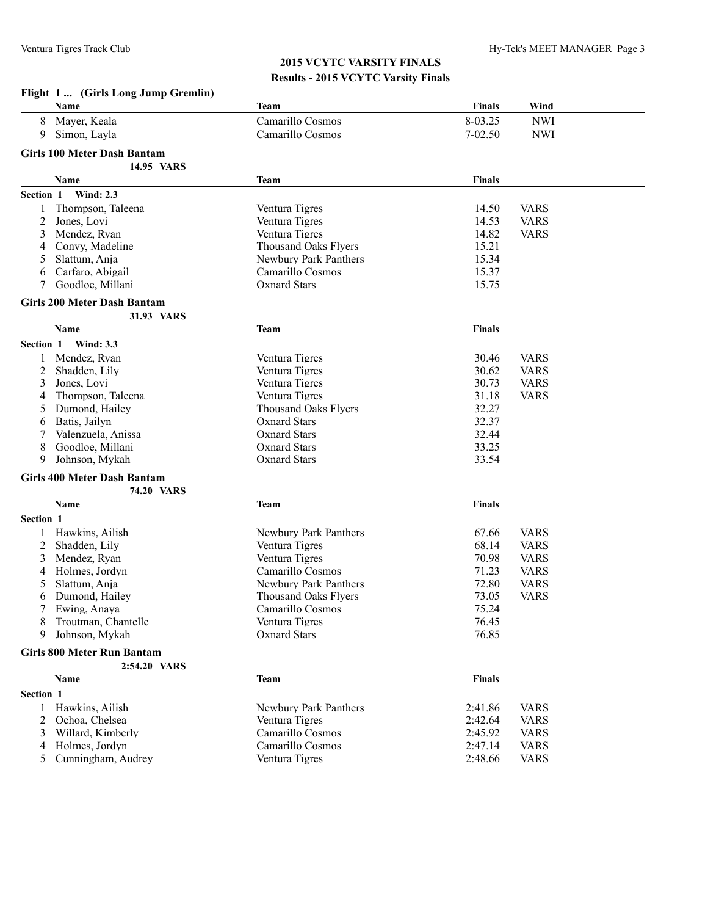#### **Flight 1 ... (Girls Long Jump Gremlin)**

|                | Name                               | <b>Team</b>                 | <b>Finals</b> | Wind        |  |
|----------------|------------------------------------|-----------------------------|---------------|-------------|--|
| 8              | Mayer, Keala                       | Camarillo Cosmos            | 8-03.25       | <b>NWI</b>  |  |
| 9              | Simon, Layla                       | Camarillo Cosmos            | 7-02.50       | <b>NWI</b>  |  |
|                |                                    |                             |               |             |  |
|                | <b>Girls 100 Meter Dash Bantam</b> |                             |               |             |  |
|                | 14.95 VARS                         |                             |               |             |  |
|                | Name                               | <b>Team</b>                 | <b>Finals</b> |             |  |
| Section 1      | <b>Wind: 2.3</b>                   |                             |               |             |  |
| 1              | Thompson, Taleena                  | Ventura Tigres              | 14.50         | <b>VARS</b> |  |
| 2              | Jones, Lovi                        | Ventura Tigres              | 14.53         | <b>VARS</b> |  |
| 3              | Mendez, Ryan                       | Ventura Tigres              | 14.82         | <b>VARS</b> |  |
| 4              | Convy, Madeline                    | <b>Thousand Oaks Flyers</b> | 15.21         |             |  |
| 5              | Slattum, Anja                      | Newbury Park Panthers       | 15.34         |             |  |
| 6              | Carfaro, Abigail                   | Camarillo Cosmos            | 15.37         |             |  |
| 7              | Goodloe, Millani                   | <b>Oxnard Stars</b>         | 15.75         |             |  |
|                | <b>Girls 200 Meter Dash Bantam</b> |                             |               |             |  |
|                | 31.93 VARS                         |                             |               |             |  |
|                |                                    |                             |               |             |  |
|                | Name                               | <b>Team</b>                 | <b>Finals</b> |             |  |
| Section 1      | <b>Wind: 3.3</b>                   |                             |               |             |  |
| 1              | Mendez, Ryan                       | Ventura Tigres              | 30.46         | <b>VARS</b> |  |
| 2              | Shadden, Lily                      | Ventura Tigres              | 30.62         | <b>VARS</b> |  |
| 3              | Jones, Lovi                        | Ventura Tigres              | 30.73         | <b>VARS</b> |  |
| 4              | Thompson, Taleena                  | Ventura Tigres              | 31.18         | <b>VARS</b> |  |
| 5              | Dumond, Hailey                     | Thousand Oaks Flyers        | 32.27         |             |  |
| 6              | Batis, Jailyn                      | <b>Oxnard Stars</b>         | 32.37         |             |  |
| 7              | Valenzuela, Anissa                 | <b>Oxnard Stars</b>         | 32.44         |             |  |
| 8              | Goodloe, Millani                   | <b>Oxnard Stars</b>         | 33.25         |             |  |
| 9              | Johnson, Mykah                     | <b>Oxnard Stars</b>         | 33.54         |             |  |
|                | <b>Girls 400 Meter Dash Bantam</b> |                             |               |             |  |
|                | 74.20 VARS                         |                             |               |             |  |
|                | Name                               | <b>Team</b>                 | <b>Finals</b> |             |  |
| Section 1      |                                    |                             |               |             |  |
|                |                                    |                             |               |             |  |
| 1              | Hawkins, Ailish                    | Newbury Park Panthers       | 67.66         | <b>VARS</b> |  |
| 2              | Shadden, Lily                      | Ventura Tigres              | 68.14         | <b>VARS</b> |  |
| 3              | Mendez, Ryan                       | Ventura Tigres              | 70.98         | <b>VARS</b> |  |
| 4              | Holmes, Jordyn                     | Camarillo Cosmos            | 71.23         | <b>VARS</b> |  |
| 5              | Slattum, Anja                      | Newbury Park Panthers       | 72.80         | <b>VARS</b> |  |
| 6              | Dumond, Hailey                     | Thousand Oaks Flyers        | 73.05         | <b>VARS</b> |  |
|                | Ewing, Anaya                       | Camarillo Cosmos            | 75.24         |             |  |
| 8              | Troutman, Chantelle                | Ventura Tigres              | 76.45         |             |  |
| 9              | Johnson, Mykah                     | <b>Oxnard Stars</b>         | 76.85         |             |  |
|                | <b>Girls 800 Meter Run Bantam</b>  |                             |               |             |  |
|                | 2:54.20 VARS                       |                             |               |             |  |
|                | Name                               | <b>Team</b>                 | <b>Finals</b> |             |  |
| Section 1      |                                    |                             |               |             |  |
| 1              | Hawkins, Ailish                    | Newbury Park Panthers       | 2:41.86       | <b>VARS</b> |  |
| 2              | Ochoa, Chelsea                     | Ventura Tigres              | 2:42.64       | <b>VARS</b> |  |
| 3              | Willard, Kimberly                  | Camarillo Cosmos            | 2:45.92       | <b>VARS</b> |  |
| 4              | Holmes, Jordyn                     | Camarillo Cosmos            | 2:47.14       | <b>VARS</b> |  |
| 5 <sup>5</sup> | Cunningham, Audrey                 | Ventura Tigres              | 2:48.66       | <b>VARS</b> |  |
|                |                                    |                             |               |             |  |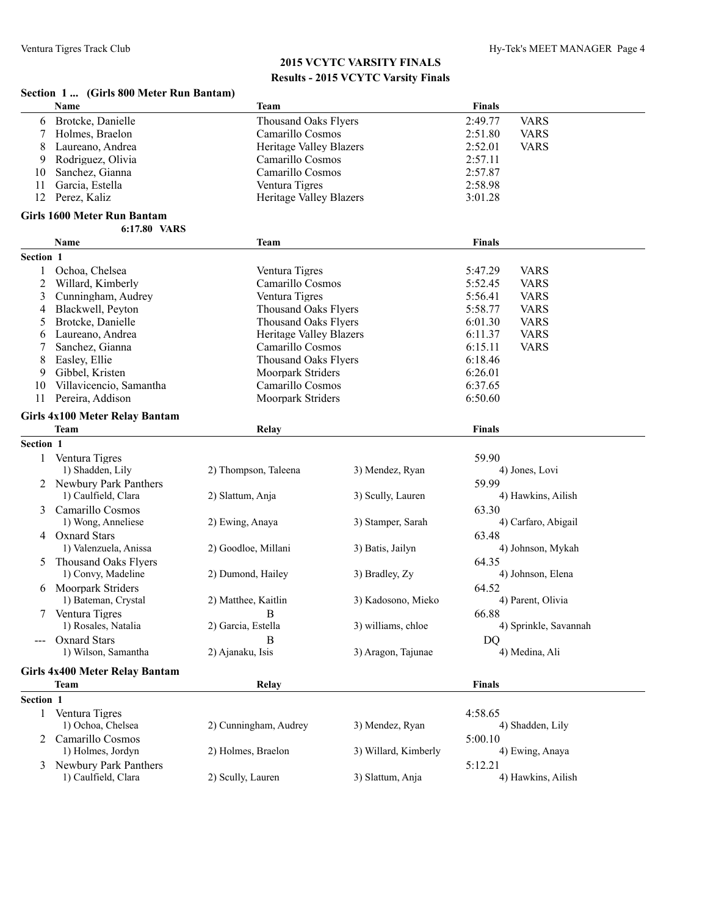#### **Section 1 ... (Girls 800 Meter Run Bantam)**

|              | Name                                       | <b>Team</b>                    |                      | <b>Finals</b>  |                       |
|--------------|--------------------------------------------|--------------------------------|----------------------|----------------|-----------------------|
| 6            | Brotcke, Danielle                          | <b>Thousand Oaks Flyers</b>    |                      | 2:49.77        | <b>VARS</b>           |
| 7            | Holmes, Braelon                            | Camarillo Cosmos               |                      | 2:51.80        | <b>VARS</b>           |
| 8            | Laureano, Andrea                           | <b>Heritage Valley Blazers</b> |                      | 2:52.01        | <b>VARS</b>           |
| 9            | Rodriguez, Olivia                          | Camarillo Cosmos               |                      | 2:57.11        |                       |
| 10           | Sanchez, Gianna                            | Camarillo Cosmos               |                      | 2:57.87        |                       |
| 11           | Garcia, Estella                            | Ventura Tigres                 |                      | 2:58.98        |                       |
| 12           | Perez, Kaliz                               | Heritage Valley Blazers        |                      | 3:01.28        |                       |
|              |                                            |                                |                      |                |                       |
|              | Girls 1600 Meter Run Bantam                |                                |                      |                |                       |
|              | 6:17.80 VARS                               |                                |                      |                |                       |
|              | Name                                       | <b>Team</b>                    |                      | <b>Finals</b>  |                       |
| Section 1    |                                            |                                |                      |                |                       |
| 1            | Ochoa, Chelsea                             | Ventura Tigres                 |                      | 5:47.29        | <b>VARS</b>           |
| 2            | Willard, Kimberly                          | Camarillo Cosmos               |                      | 5:52.45        | <b>VARS</b>           |
| 3            | Cunningham, Audrey                         | Ventura Tigres                 |                      | 5:56.41        | <b>VARS</b>           |
| 4            | Blackwell, Peyton                          | Thousand Oaks Flyers           |                      | 5:58.77        | <b>VARS</b>           |
| 5            | Brotcke, Danielle                          | <b>Thousand Oaks Flyers</b>    |                      | 6:01.30        | <b>VARS</b>           |
| 6            | Laureano, Andrea                           | <b>Heritage Valley Blazers</b> |                      | 6:11.37        | <b>VARS</b>           |
| 7            | Sanchez, Gianna                            | Camarillo Cosmos               |                      | 6:15.11        | <b>VARS</b>           |
| 8            | Easley, Ellie                              | <b>Thousand Oaks Flyers</b>    |                      | 6:18.46        |                       |
| 9            | Gibbel, Kristen                            | <b>Moorpark Striders</b>       |                      | 6:26.01        |                       |
| 10           | Villavicencio, Samantha                    | Camarillo Cosmos               |                      | 6:37.65        |                       |
| 11           | Pereira, Addison                           | Moorpark Striders              |                      | 6:50.60        |                       |
|              | <b>Girls 4x100 Meter Relay Bantam</b>      |                                |                      |                |                       |
|              | <b>Team</b>                                | Relay                          |                      | <b>Finals</b>  |                       |
| Section 1    |                                            |                                |                      |                |                       |
| 1            | Ventura Tigres                             |                                |                      | 59.90          |                       |
|              | 1) Shadden, Lily                           | 2) Thompson, Taleena           | 3) Mendez, Ryan      |                | 4) Jones, Lovi        |
|              | 2 Newbury Park Panthers                    |                                |                      | 59.99          |                       |
|              | 1) Caulfield, Clara                        | 2) Slattum, Anja               | 3) Scully, Lauren    |                | 4) Hawkins, Ailish    |
| 3            | Camarillo Cosmos                           |                                |                      | 63.30          |                       |
|              | 1) Wong, Anneliese                         | 2) Ewing, Anaya                | 3) Stamper, Sarah    |                | 4) Carfaro, Abigail   |
| 4            | <b>Oxnard Stars</b>                        |                                |                      | 63.48          |                       |
|              | 1) Valenzuela, Anissa                      | 2) Goodloe, Millani            | 3) Batis, Jailyn     |                | 4) Johnson, Mykah     |
|              |                                            |                                |                      |                |                       |
| 5            | Thousand Oaks Flyers<br>1) Convy, Madeline |                                |                      | 64.35          | 4) Johnson, Elena     |
|              |                                            | 2) Dumond, Hailey              | 3) Bradley, Zy       |                |                       |
| 6            | Moorpark Striders                          |                                |                      | 64.52          |                       |
|              | 1) Bateman, Crystal                        | 2) Matthee, Kaitlin            | 3) Kadosono, Mieko   |                | 4) Parent, Olivia     |
|              | 7 Ventura Tigres                           | B                              |                      | 66.88          |                       |
|              | 1) Rosales, Natalia                        | 2) Garcia, Estella             | 3) williams, chloe   |                | 4) Sprinkle, Savannah |
|              | <b>Oxnard Stars</b>                        | R                              |                      | D <sub>O</sub> |                       |
|              | 1) Wilson, Samantha                        | 2) Ajanaku, Isis               | 3) Aragon, Tajunae   |                | 4) Medina, Ali        |
|              | <b>Girls 4x400 Meter Relay Bantam</b>      |                                |                      |                |                       |
|              | <b>Team</b>                                | Relay                          |                      | <b>Finals</b>  |                       |
| Section 1    |                                            |                                |                      |                |                       |
| $\mathbf{1}$ | Ventura Tigres                             |                                |                      | 4:58.65        |                       |
|              | 1) Ochoa, Chelsea                          | 2) Cunningham, Audrey          | 3) Mendez, Ryan      |                | 4) Shadden, Lily      |
| 2            | Camarillo Cosmos                           |                                |                      | 5:00.10        |                       |
|              | 1) Holmes, Jordyn                          | 2) Holmes, Braelon             | 3) Willard, Kimberly |                | 4) Ewing, Anaya       |
| 3            | Newbury Park Panthers                      |                                |                      | 5:12.21        |                       |
|              | 1) Caulfield, Clara                        | 2) Scully, Lauren              | 3) Slattum, Anja     |                | 4) Hawkins, Ailish    |
|              |                                            |                                |                      |                |                       |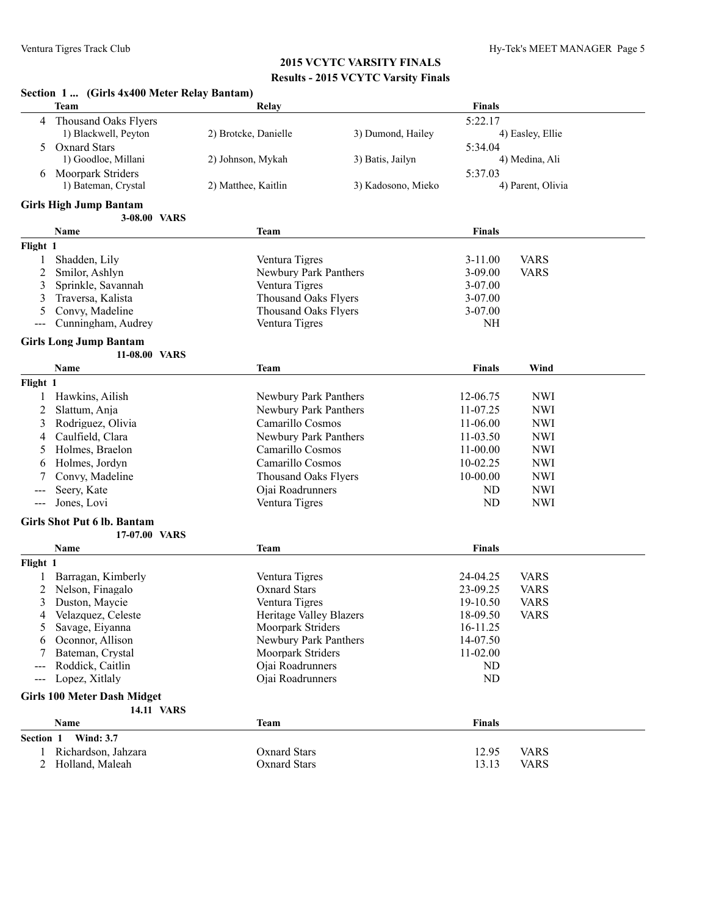|                | Section 1  (Girls 4x400 Meter Relay Bantam) |                      |                                                     |                    |                      |                   |
|----------------|---------------------------------------------|----------------------|-----------------------------------------------------|--------------------|----------------------|-------------------|
|                | <b>Team</b>                                 |                      | Relay                                               |                    | <b>Finals</b>        |                   |
| 4              | Thousand Oaks Flyers                        |                      |                                                     |                    | 5:22.17              |                   |
|                | 1) Blackwell, Peyton                        | 2) Brotcke, Danielle |                                                     | 3) Dumond, Hailey  |                      | 4) Easley, Ellie  |
| 5              | <b>Oxnard Stars</b>                         |                      |                                                     |                    | 5:34.04              |                   |
|                | 1) Goodloe, Millani                         | 2) Johnson, Mykah    |                                                     | 3) Batis, Jailyn   |                      | 4) Medina, Ali    |
| 6              | Moorpark Striders                           |                      |                                                     |                    | 5:37.03              |                   |
|                | 1) Bateman, Crystal                         | 2) Matthee, Kaitlin  |                                                     | 3) Kadosono, Mieko |                      | 4) Parent, Olivia |
|                | <b>Girls High Jump Bantam</b>               |                      |                                                     |                    |                      |                   |
|                | 3-08.00 VARS                                |                      |                                                     |                    |                      |                   |
|                | Name                                        |                      | Team                                                |                    | <b>Finals</b>        |                   |
| Flight 1       |                                             |                      |                                                     |                    |                      |                   |
| 1              | Shadden, Lily                               |                      | Ventura Tigres                                      |                    | $3 - 11.00$          | <b>VARS</b>       |
| 2              | Smilor, Ashlyn                              |                      | Newbury Park Panthers                               |                    | $3 - 09.00$          | <b>VARS</b>       |
| 3              | Sprinkle, Savannah                          |                      | Ventura Tigres                                      |                    | $3-07.00$            |                   |
| 3              | Traversa, Kalista                           |                      | Thousand Oaks Flyers                                |                    | 3-07.00              |                   |
| 5              | Convy, Madeline                             |                      | Thousand Oaks Flyers                                |                    | 3-07.00              |                   |
| $---$          | Cunningham, Audrey                          |                      | Ventura Tigres                                      |                    | NH                   |                   |
|                |                                             |                      |                                                     |                    |                      |                   |
|                | <b>Girls Long Jump Bantam</b>               |                      |                                                     |                    |                      |                   |
|                | 11-08.00 VARS                               |                      |                                                     |                    |                      |                   |
|                | Name                                        |                      | Team                                                |                    | <b>Finals</b>        | Wind              |
| Flight 1       |                                             |                      |                                                     |                    |                      |                   |
|                | Hawkins, Ailish                             |                      | Newbury Park Panthers                               |                    | 12-06.75             | <b>NWI</b>        |
| 2              | Slattum, Anja                               |                      | Newbury Park Panthers                               |                    | 11-07.25             | <b>NWI</b>        |
| 3              | Rodriguez, Olivia                           |                      | Camarillo Cosmos                                    |                    | 11-06.00             | <b>NWI</b>        |
| 4              | Caulfield, Clara                            |                      | Newbury Park Panthers                               |                    | 11-03.50             | <b>NWI</b>        |
| 5              | Holmes, Braelon                             |                      | Camarillo Cosmos                                    |                    | 11-00.00             | <b>NWI</b>        |
| 6              | Holmes, Jordyn                              |                      | Camarillo Cosmos                                    |                    | 10-02.25             | <b>NWI</b>        |
|                | Convy, Madeline                             |                      | <b>Thousand Oaks Flyers</b>                         |                    | 10-00.00             | <b>NWI</b>        |
|                | Seery, Kate                                 |                      | Ojai Roadrunners                                    |                    | ND                   | <b>NWI</b>        |
| $---$          | Jones, Lovi                                 |                      | Ventura Tigres                                      |                    | ND                   | <b>NWI</b>        |
|                | <b>Girls Shot Put 6 lb. Bantam</b>          |                      |                                                     |                    |                      |                   |
|                | 17-07.00 VARS                               |                      |                                                     |                    |                      |                   |
|                | Name                                        |                      | Team                                                |                    | <b>Finals</b>        |                   |
|                |                                             |                      |                                                     |                    |                      |                   |
| Flight 1       |                                             |                      |                                                     |                    |                      |                   |
|                | Barragan, Kimberly                          |                      | Ventura Tigres                                      |                    | 24-04.25             | <b>VARS</b>       |
|                | Nelson, Finagalo                            |                      | <b>Oxnard Stars</b>                                 |                    | 23-09.25<br>19-10.50 | <b>VARS</b>       |
| 3              | Duston, Maycie                              |                      | Ventura Tigres                                      |                    |                      | <b>VARS</b>       |
| 4              | Velazquez, Celeste<br>Savage, Eiyanna       |                      | <b>Heritage Valley Blazers</b><br>Moorpark Striders |                    | 18-09.50<br>16-11.25 | <b>VARS</b>       |
| 5              | Oconnor, Allison                            |                      | Newbury Park Panthers                               |                    | 14-07.50             |                   |
| 6              | Bateman, Crystal                            |                      | Moorpark Striders                                   |                    | 11-02.00             |                   |
|                | Roddick, Caitlin                            |                      | Ojai Roadrunners                                    |                    | ND                   |                   |
| $---$          | Lopez, Xitlaly                              |                      | Ojai Roadrunners                                    |                    | ND                   |                   |
|                |                                             |                      |                                                     |                    |                      |                   |
|                | <b>Girls 100 Meter Dash Midget</b>          |                      |                                                     |                    |                      |                   |
|                | 14.11 VARS                                  |                      |                                                     |                    |                      |                   |
|                | Name                                        |                      | <b>Team</b>                                         |                    | <b>Finals</b>        |                   |
| Section 1      | <b>Wind: 3.7</b>                            |                      |                                                     |                    |                      |                   |
| 1              | Richardson, Jahzara                         |                      | <b>Oxnard Stars</b>                                 |                    | 12.95                | <b>VARS</b>       |
| $\overline{2}$ | Holland, Maleah                             |                      | <b>Oxnard Stars</b>                                 |                    | 13.13                | <b>VARS</b>       |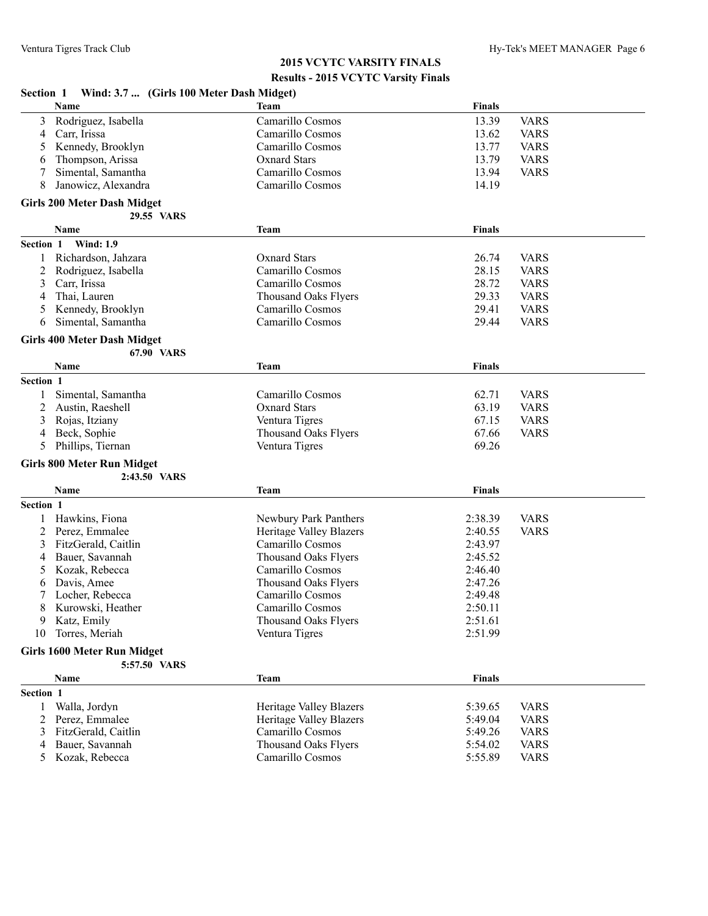|           | Section 1 Wind: 3.7  (Girls 100 Meter Dash Midget) |                                |               |             |
|-----------|----------------------------------------------------|--------------------------------|---------------|-------------|
|           | Name                                               | Team                           | <b>Finals</b> |             |
| 3         | Rodriguez, Isabella                                | Camarillo Cosmos               | 13.39         | <b>VARS</b> |
| 4         | Carr, Irissa                                       | Camarillo Cosmos               | 13.62         | <b>VARS</b> |
| 5         | Kennedy, Brooklyn                                  | Camarillo Cosmos               | 13.77         | <b>VARS</b> |
| 6         | Thompson, Arissa                                   | <b>Oxnard Stars</b>            | 13.79         | <b>VARS</b> |
| 7         | Simental, Samantha                                 | Camarillo Cosmos               | 13.94         | <b>VARS</b> |
| 8         | Janowicz, Alexandra                                | Camarillo Cosmos               | 14.19         |             |
|           | <b>Girls 200 Meter Dash Midget</b>                 |                                |               |             |
|           | 29.55 VARS                                         |                                |               |             |
|           | Name                                               | <b>Team</b>                    | <b>Finals</b> |             |
| Section 1 | <b>Wind: 1.9</b>                                   |                                |               |             |
| 1         | Richardson, Jahzara                                | <b>Oxnard Stars</b>            | 26.74         | <b>VARS</b> |
| 2         | Rodriguez, Isabella                                | Camarillo Cosmos               | 28.15         | <b>VARS</b> |
| 3         | Carr, Irissa                                       | Camarillo Cosmos               | 28.72         | <b>VARS</b> |
| 4         | Thai, Lauren                                       | <b>Thousand Oaks Flyers</b>    | 29.33         | <b>VARS</b> |
| 5         | Kennedy, Brooklyn                                  | Camarillo Cosmos               | 29.41         | <b>VARS</b> |
| 6         | Simental, Samantha                                 | Camarillo Cosmos               | 29.44         | <b>VARS</b> |
|           |                                                    |                                |               |             |
|           | <b>Girls 400 Meter Dash Midget</b>                 |                                |               |             |
|           | 67.90 VARS                                         |                                |               |             |
|           | <b>Name</b>                                        | Team                           | <b>Finals</b> |             |
| Section 1 |                                                    |                                |               |             |
| 1         | Simental, Samantha                                 | Camarillo Cosmos               | 62.71         | <b>VARS</b> |
| 2         | Austin, Raeshell                                   | <b>Oxnard Stars</b>            | 63.19         | <b>VARS</b> |
| 3         | Rojas, Itziany                                     | Ventura Tigres                 | 67.15         | <b>VARS</b> |
| 4         | Beck, Sophie                                       | <b>Thousand Oaks Flyers</b>    | 67.66         | <b>VARS</b> |
| 5         | Phillips, Tiernan                                  | Ventura Tigres                 | 69.26         |             |
|           | <b>Girls 800 Meter Run Midget</b>                  |                                |               |             |
|           | 2:43.50 VARS                                       |                                |               |             |
|           | Name                                               | Team                           | <b>Finals</b> |             |
| Section 1 |                                                    |                                |               |             |
| 1         | Hawkins, Fiona                                     | Newbury Park Panthers          | 2:38.39       | <b>VARS</b> |
| 2         | Perez, Emmalee                                     | <b>Heritage Valley Blazers</b> | 2:40.55       | <b>VARS</b> |
| 3         | FitzGerald, Caitlin                                | Camarillo Cosmos               | 2:43.97       |             |
| 4         | Bauer, Savannah                                    | Thousand Oaks Flyers           | 2:45.52       |             |
| 5         | Kozak, Rebecca                                     | Camarillo Cosmos               | 2:46.40       |             |
| 6         | Davis, Amee                                        | <b>Thousand Oaks Flyers</b>    | 2:47.26       |             |
| 7         | Locher, Rebecca                                    | Camarillo Cosmos               | 2:49.48       |             |
| 8         | Kurowski, Heather                                  | Camarillo Cosmos               | 2:50.11       |             |
| 9         | Katz, Emily                                        | <b>Thousand Oaks Flyers</b>    | 2:51.61       |             |
| 10        | Torres, Meriah                                     | Ventura Tigres                 | 2:51.99       |             |
|           |                                                    |                                |               |             |
|           | <b>Girls 1600 Meter Run Midget</b>                 |                                |               |             |
|           | 5:57.50 VARS                                       |                                |               |             |
|           | Name                                               | <b>Team</b>                    | <b>Finals</b> |             |
| Section 1 |                                                    |                                |               |             |
| 1         | Walla, Jordyn                                      | Heritage Valley Blazers        | 5:39.65       | <b>VARS</b> |
| 2         | Perez, Emmalee                                     | <b>Heritage Valley Blazers</b> | 5:49.04       | <b>VARS</b> |
| 3         | FitzGerald, Caitlin                                | Camarillo Cosmos               | 5:49.26       | <b>VARS</b> |
| 4         | Bauer, Savannah                                    | <b>Thousand Oaks Flyers</b>    | 5:54.02       | <b>VARS</b> |
| 5         | Kozak, Rebecca                                     | Camarillo Cosmos               | 5:55.89       | <b>VARS</b> |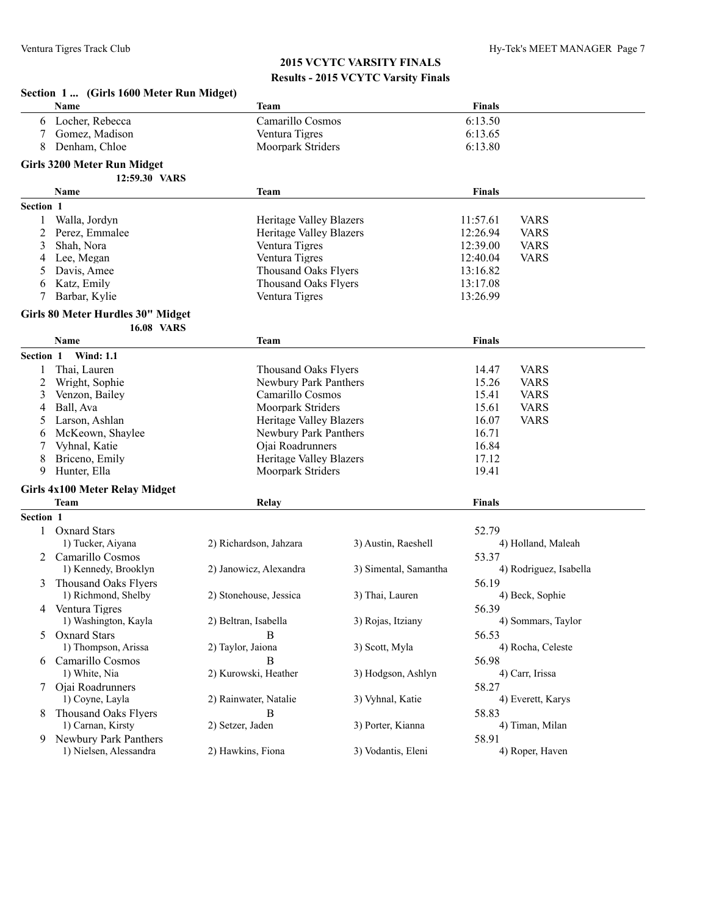|           | Section 1  (Girls 1600 Meter Run Midget)            |                             |                       |                         |  |
|-----------|-----------------------------------------------------|-----------------------------|-----------------------|-------------------------|--|
|           | Name                                                | Team                        |                       | <b>Finals</b>           |  |
| 6         | Locher, Rebecca                                     | Camarillo Cosmos            |                       | 6:13.50                 |  |
| 7         | Gomez, Madison                                      | Ventura Tigres              |                       | 6:13.65                 |  |
| 8         | Denham, Chloe                                       | Moorpark Striders           |                       | 6:13.80                 |  |
|           |                                                     |                             |                       |                         |  |
|           | <b>Girls 3200 Meter Run Midget</b><br>12:59.30 VARS |                             |                       |                         |  |
|           |                                                     |                             |                       | <b>Finals</b>           |  |
|           | Name                                                | <b>Team</b>                 |                       |                         |  |
| Section 1 |                                                     |                             |                       |                         |  |
| 1         | Walla, Jordyn                                       | Heritage Valley Blazers     |                       | 11:57.61<br><b>VARS</b> |  |
| 2         | Perez, Emmalee                                      | Heritage Valley Blazers     |                       | 12:26.94<br><b>VARS</b> |  |
| 3         | Shah, Nora                                          | Ventura Tigres              |                       | 12:39.00<br><b>VARS</b> |  |
| 4         | Lee, Megan                                          | Ventura Tigres              |                       | 12:40.04<br><b>VARS</b> |  |
| 5         | Davis, Amee                                         | <b>Thousand Oaks Flyers</b> |                       | 13:16.82                |  |
| 6         | Katz, Emily                                         | <b>Thousand Oaks Flyers</b> |                       | 13:17.08                |  |
| 7         | Barbar, Kylie                                       | Ventura Tigres              |                       | 13:26.99                |  |
|           | Girls 80 Meter Hurdles 30" Midget                   |                             |                       |                         |  |
|           | <b>16.08 VARS</b>                                   |                             |                       |                         |  |
|           | Name                                                | Team                        |                       | <b>Finals</b>           |  |
| Section 1 | <b>Wind: 1.1</b>                                    |                             |                       |                         |  |
|           | Thai, Lauren                                        | <b>Thousand Oaks Flyers</b> |                       | 14.47<br><b>VARS</b>    |  |
| 2         | Wright, Sophie                                      | Newbury Park Panthers       |                       | 15.26<br><b>VARS</b>    |  |
| 3         | Venzon, Bailey                                      | Camarillo Cosmos            |                       | 15.41<br><b>VARS</b>    |  |
| 4         | Ball, Ava                                           | Moorpark Striders           |                       | 15.61<br><b>VARS</b>    |  |
| 5         | Larson, Ashlan                                      | Heritage Valley Blazers     |                       | 16.07<br><b>VARS</b>    |  |
| 6         | McKeown, Shaylee                                    | Newbury Park Panthers       |                       | 16.71                   |  |
| 7         | Vyhnal, Katie                                       | Ojai Roadrunners            |                       | 16.84                   |  |
| 8         | Briceno, Emily                                      | Heritage Valley Blazers     |                       | 17.12                   |  |
| 9         | Hunter, Ella                                        | Moorpark Striders           |                       | 19.41                   |  |
|           |                                                     |                             |                       |                         |  |
|           | <b>Girls 4x100 Meter Relay Midget</b>               |                             |                       |                         |  |
|           | Team                                                | Relay                       |                       | Finals                  |  |
| Section 1 |                                                     |                             |                       |                         |  |
| 1         | <b>Oxnard Stars</b>                                 |                             |                       | 52.79                   |  |
|           | 1) Tucker, Aiyana                                   | 2) Richardson, Jahzara      | 3) Austin, Raeshell   | 4) Holland, Maleah      |  |
|           | 2 Camarillo Cosmos                                  |                             |                       | 53.37                   |  |
|           | 1) Kennedy, Brooklyn                                | 2) Janowicz, Alexandra      | 3) Simental, Samantha | 4) Rodriguez, Isabella  |  |
| 3         | Thousand Oaks Flyers                                |                             |                       | 56.19                   |  |
|           | 1) Richmond, Shelby                                 | 2) Stonehouse, Jessica      | 3) Thai, Lauren       | 4) Beck, Sophie         |  |
| 4         | Ventura Tigres                                      |                             |                       | 56.39                   |  |
|           | 1) Washington, Kayla                                | 2) Beltran, Isabella        | 3) Rojas, Itziany     | 4) Sommars, Taylor      |  |
|           | 5 Oxnard Stars                                      | B                           |                       | 56.53                   |  |
|           | 1) Thompson, Arissa                                 | 2) Taylor, Jaiona           | 3) Scott, Myla        | 4) Rocha, Celeste       |  |
|           | 6 Camarillo Cosmos                                  | B                           |                       | 56.98                   |  |
|           | 1) White, Nia                                       | 2) Kurowski, Heather        | 3) Hodgson, Ashlyn    | 4) Carr, Irissa         |  |
| 7         | Ojai Roadrunners                                    |                             |                       | 58.27                   |  |
|           | 1) Coyne, Layla                                     | 2) Rainwater, Natalie       | 3) Vyhnal, Katie      | 4) Everett, Karys       |  |
| 8         | <b>Thousand Oaks Flyers</b>                         | В                           |                       | 58.83                   |  |
|           | 1) Carnan, Kirsty                                   | 2) Setzer, Jaden            | 3) Porter, Kianna     | 4) Timan, Milan         |  |
| 9.        | Newbury Park Panthers                               |                             |                       | 58.91                   |  |
|           | 1) Nielsen, Alessandra                              | 2) Hawkins, Fiona           | 3) Vodantis, Eleni    | 4) Roper, Haven         |  |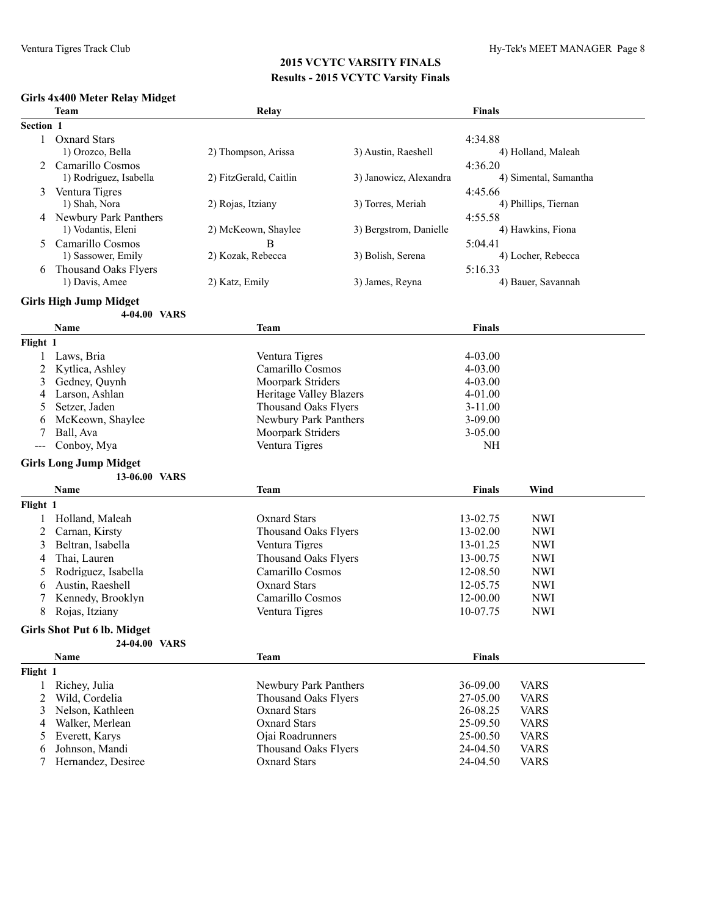#### **Girls 4x400 Meter Relay Midget**

|              | $\frac{1}{2}$<br><b>Team</b>       | Relay                                    |                        | Finals               |                            |
|--------------|------------------------------------|------------------------------------------|------------------------|----------------------|----------------------------|
| Section 1    |                                    |                                          |                        |                      |                            |
| $\mathbf{1}$ | <b>Oxnard Stars</b>                |                                          |                        | 4:34.88              |                            |
|              | 1) Orozco, Bella                   | 2) Thompson, Arissa                      | 3) Austin, Raeshell    |                      | 4) Holland, Maleah         |
|              | 2 Camarillo Cosmos                 |                                          |                        | 4:36.20              |                            |
|              | 1) Rodriguez, Isabella             | 2) FitzGerald, Caitlin                   | 3) Janowicz, Alexandra |                      | 4) Simental, Samantha      |
| 3            | Ventura Tigres                     |                                          |                        | 4:45.66              |                            |
|              | 1) Shah, Nora                      | 2) Rojas, Itziany                        | 3) Torres, Meriah      |                      | 4) Phillips, Tiernan       |
|              | 4 Newbury Park Panthers            |                                          |                        | 4:55.58              |                            |
|              | 1) Vodantis, Eleni                 | 2) McKeown, Shaylee                      | 3) Bergstrom, Danielle |                      | 4) Hawkins, Fiona          |
| 5            | Camarillo Cosmos                   | B                                        |                        | 5:04.41              |                            |
|              | 1) Sassower, Emily                 | 2) Kozak, Rebecca                        | 3) Bolish, Serena      |                      | 4) Locher, Rebecca         |
| 6            | <b>Thousand Oaks Flyers</b>        |                                          |                        | 5:16.33              |                            |
|              | 1) Davis, Amee                     | 2) Katz, Emily                           | 3) James, Reyna        |                      | 4) Bauer, Savannah         |
|              | <b>Girls High Jump Midget</b>      |                                          |                        |                      |                            |
|              | 4-04.00 VARS                       |                                          |                        |                      |                            |
|              | Name                               | <b>Team</b>                              |                        | <b>Finals</b>        |                            |
| Flight 1     |                                    |                                          |                        |                      |                            |
|              | Laws, Bria                         | Ventura Tigres                           |                        | $4 - 03.00$          |                            |
| 2            | Kytlica, Ashley                    | Camarillo Cosmos                         |                        | 4-03.00              |                            |
| 3            | Gedney, Quynh                      | Moorpark Striders                        |                        | $4 - 03.00$          |                            |
| 4            | Larson, Ashlan                     | Heritage Valley Blazers                  |                        | 4-01.00              |                            |
|              | Setzer, Jaden                      | <b>Thousand Oaks Flyers</b>              |                        | $3 - 11.00$          |                            |
| 6            | McKeown, Shaylee                   | Newbury Park Panthers                    |                        | $3 - 09.00$          |                            |
| 7            | Ball, Ava                          | Moorpark Striders                        |                        | 3-05.00              |                            |
| ---          | Conboy, Mya                        | Ventura Tigres                           |                        | NH                   |                            |
|              | <b>Girls Long Jump Midget</b>      |                                          |                        |                      |                            |
|              | 13-06.00 VARS                      |                                          |                        |                      |                            |
|              | Name                               | <b>Team</b>                              |                        | Finals               | Wind                       |
| Flight 1     |                                    |                                          |                        |                      |                            |
|              | Holland, Maleah                    | <b>Oxnard Stars</b>                      |                        | 13-02.75             | <b>NWI</b>                 |
| 2            | Carnan, Kirsty                     | <b>Thousand Oaks Flyers</b>              |                        | 13-02.00             | <b>NWI</b>                 |
| 3            | Beltran, Isabella                  | Ventura Tigres                           |                        | 13-01.25             | <b>NWI</b>                 |
| 4            | Thai, Lauren                       | <b>Thousand Oaks Flyers</b>              |                        | 13-00.75             | <b>NWI</b>                 |
| 5            | Rodriguez, Isabella                | Camarillo Cosmos                         |                        | 12-08.50             | <b>NWI</b>                 |
| 6            | Austin, Raeshell                   | <b>Oxnard Stars</b>                      |                        | 12-05.75             | <b>NWI</b>                 |
| 7            | Kennedy, Brooklyn                  | Camarillo Cosmos                         |                        | 12-00.00             | <b>NWI</b>                 |
| 8            | Rojas, Itziany                     | Ventura Tigres                           |                        | 10-07.75             | <b>NWI</b>                 |
|              |                                    |                                          |                        |                      |                            |
|              | <b>Girls Shot Put 6 lb. Midget</b> |                                          |                        |                      |                            |
|              | 24-04.00 VARS                      |                                          |                        |                      |                            |
|              | Name                               | <b>Team</b>                              |                        | <b>Finals</b>        |                            |
| Flight 1     |                                    |                                          |                        |                      |                            |
| 1            | Richey, Julia                      | Newbury Park Panthers                    |                        | 36-09.00             | <b>VARS</b>                |
| 2            | Wild, Cordelia                     | <b>Thousand Oaks Flyers</b>              |                        | 27-05.00             | <b>VARS</b>                |
| 3            | Nelson, Kathleen                   | <b>Oxnard Stars</b>                      |                        | 26-08.25             | <b>VARS</b>                |
| 4            | Walker, Merlean                    | <b>Oxnard Stars</b>                      |                        | 25-09.50             | <b>VARS</b>                |
| 5            | Everett, Karys<br>Johnson, Mandi   | Ojai Roadrunners<br>Thousand Oaks Flyers |                        | 25-00.50<br>24-04.50 | <b>VARS</b><br><b>VARS</b> |
| 6<br>7       | Hernandez, Desiree                 | <b>Oxnard Stars</b>                      |                        | 24-04.50             | <b>VARS</b>                |
|              |                                    |                                          |                        |                      |                            |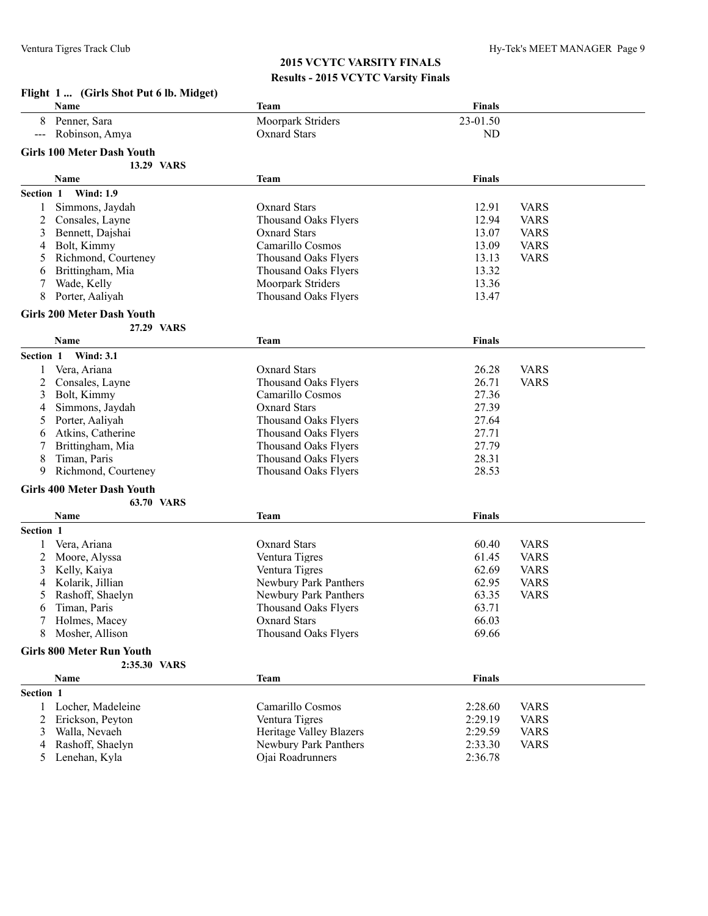**Flight 1 ... (Girls Shot Put 6 lb. Midget)**

|           | Name                              | <b>Team</b>                  | <b>Finals</b> |             |
|-----------|-----------------------------------|------------------------------|---------------|-------------|
|           | Penner, Sara                      | Moorpark Striders            | 23-01.50      |             |
|           | Robinson, Amya                    | <b>Oxnard Stars</b>          | ND            |             |
|           | <b>Girls 100 Meter Dash Youth</b> |                              |               |             |
|           | <b>13.29 VARS</b>                 |                              |               |             |
|           |                                   |                              | <b>Finals</b> |             |
|           | Name                              | Team                         |               |             |
| Section 1 | <b>Wind: 1.9</b>                  |                              |               |             |
| 1         | Simmons, Jaydah                   | <b>Oxnard Stars</b>          | 12.91         | <b>VARS</b> |
| 2         | Consales, Layne                   | <b>Thousand Oaks Flyers</b>  | 12.94         | <b>VARS</b> |
| 3         | Bennett, Dajshai                  | <b>Oxnard Stars</b>          | 13.07         | <b>VARS</b> |
| 4         | Bolt, Kimmy                       | Camarillo Cosmos             | 13.09         | <b>VARS</b> |
| 5         | Richmond, Courteney               | <b>Thousand Oaks Flyers</b>  | 13.13         | <b>VARS</b> |
| 6         | Brittingham, Mia                  | Thousand Oaks Flyers         | 13.32         |             |
| 7         | Wade, Kelly                       | Moorpark Striders            | 13.36         |             |
| 8         | Porter, Aaliyah                   | <b>Thousand Oaks Flyers</b>  | 13.47         |             |
|           | <b>Girls 200 Meter Dash Youth</b> |                              |               |             |
|           | 27.29 VARS                        |                              |               |             |
|           | Name                              | <b>Team</b>                  | <b>Finals</b> |             |
|           |                                   |                              |               |             |
| Section 1 | <b>Wind: 3.1</b>                  |                              |               |             |
| 1         | Vera, Ariana                      | <b>Oxnard Stars</b>          | 26.28         | <b>VARS</b> |
| 2         | Consales, Layne                   | <b>Thousand Oaks Flyers</b>  | 26.71         | <b>VARS</b> |
| 3         | Bolt, Kimmy                       | Camarillo Cosmos             | 27.36         |             |
| 4         | Simmons, Jaydah                   | <b>Oxnard Stars</b>          | 27.39         |             |
| 5         | Porter, Aaliyah                   | <b>Thousand Oaks Flyers</b>  | 27.64         |             |
| 6         | Atkins, Catherine                 | Thousand Oaks Flyers         | 27.71         |             |
| 7         | Brittingham, Mia                  | <b>Thousand Oaks Flyers</b>  | 27.79         |             |
| 8         | Timan, Paris                      | <b>Thousand Oaks Flyers</b>  | 28.31         |             |
| 9         | Richmond, Courteney               | <b>Thousand Oaks Flyers</b>  | 28.53         |             |
|           | <b>Girls 400 Meter Dash Youth</b> |                              |               |             |
|           | <b>63.70 VARS</b>                 |                              |               |             |
|           | Name                              |                              | <b>Finals</b> |             |
|           |                                   | <b>Team</b>                  |               |             |
| Section 1 |                                   |                              |               |             |
| 1         | Vera, Ariana                      | <b>Oxnard Stars</b>          | 60.40         | <b>VARS</b> |
| 2         | Moore, Alyssa                     | Ventura Tigres               | 61.45         | <b>VARS</b> |
| 3         | Kelly, Kaiya                      | Ventura Tigres               | 62.69         | <b>VARS</b> |
| 4         | Kolarik, Jillian                  | <b>Newbury Park Panthers</b> | 62.95         | <b>VARS</b> |
| 5         | Rashoff, Shaelyn                  | Newbury Park Panthers        | 63.35         | <b>VARS</b> |
| 6         | Timan, Paris                      | <b>Thousand Oaks Flyers</b>  | 63.71         |             |
|           | Holmes, Macey                     | Oxnard Stars                 | 66.03         |             |
| 8         | Mosher, Allison                   | <b>Thousand Oaks Flyers</b>  | 69.66         |             |
|           | <b>Girls 800 Meter Run Youth</b>  |                              |               |             |
|           | 2:35.30 VARS                      |                              |               |             |
|           |                                   |                              |               |             |
|           | Name                              | <b>Team</b>                  | <b>Finals</b> |             |
| Section 1 |                                   |                              |               |             |
| 1         | Locher, Madeleine                 | Camarillo Cosmos             | 2:28.60       | <b>VARS</b> |
| 2         | Erickson, Peyton                  | Ventura Tigres               | 2:29.19       | <b>VARS</b> |
| 3         | Walla, Nevaeh                     | Heritage Valley Blazers      | 2:29.59       | <b>VARS</b> |
| 4         | Rashoff, Shaelyn                  | Newbury Park Panthers        | 2:33.30       | <b>VARS</b> |
|           | 5 Lenehan, Kyla                   | Ojai Roadrunners             | 2:36.78       |             |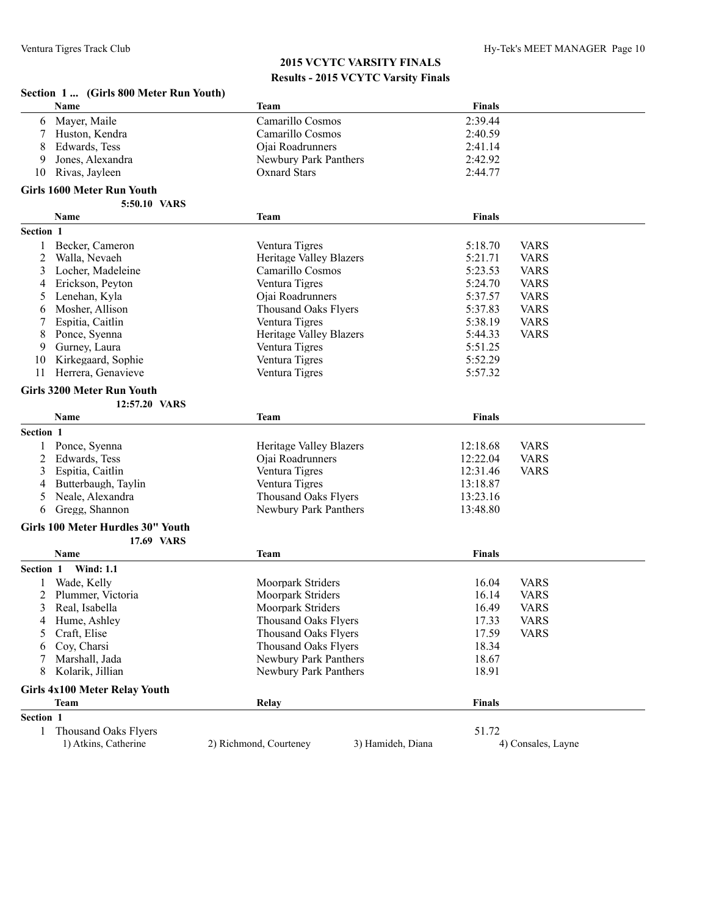| Section 1  (Girls 800 Meter Run Youth) |  |  |  |  |  |  |  |  |
|----------------------------------------|--|--|--|--|--|--|--|--|
|----------------------------------------|--|--|--|--|--|--|--|--|

|           | Name                              | <b>Team</b>                                 | Finals        |                    |
|-----------|-----------------------------------|---------------------------------------------|---------------|--------------------|
| 6         | Mayer, Maile                      | Camarillo Cosmos                            | 2:39.44       |                    |
| 7         | Huston, Kendra                    | Camarillo Cosmos                            | 2:40.59       |                    |
| 8         | Edwards, Tess                     | Ojai Roadrunners                            | 2:41.14       |                    |
| 9         | Jones, Alexandra                  | Newbury Park Panthers                       | 2:42.92       |                    |
| 10        | Rivas, Jayleen                    | <b>Oxnard Stars</b>                         | 2:44.77       |                    |
|           | <b>Girls 1600 Meter Run Youth</b> |                                             |               |                    |
|           | 5:50.10 VARS                      |                                             |               |                    |
|           | Name                              | <b>Team</b>                                 | <b>Finals</b> |                    |
| Section 1 |                                   |                                             |               |                    |
| 1         | Becker, Cameron                   | Ventura Tigres                              | 5:18.70       | <b>VARS</b>        |
| 2         | Walla, Nevaeh                     | Heritage Valley Blazers                     | 5:21.71       | <b>VARS</b>        |
| 3         | Locher, Madeleine                 | Camarillo Cosmos                            | 5:23.53       | <b>VARS</b>        |
| 4         | Erickson, Peyton                  | Ventura Tigres                              | 5:24.70       | <b>VARS</b>        |
| 5         | Lenehan, Kyla                     | Ojai Roadrunners                            | 5:37.57       | <b>VARS</b>        |
| 6         | Mosher, Allison                   | <b>Thousand Oaks Flyers</b>                 | 5:37.83       | <b>VARS</b>        |
| 7         | Espitia, Caitlin                  | Ventura Tigres                              | 5:38.19       | <b>VARS</b>        |
| 8         | Ponce, Syenna                     | Heritage Valley Blazers                     | 5:44.33       | <b>VARS</b>        |
| 9         | Gurney, Laura                     | Ventura Tigres                              | 5:51.25       |                    |
| 10        | Kirkegaard, Sophie                | Ventura Tigres                              | 5:52.29       |                    |
| 11        | Herrera, Genavieve                | Ventura Tigres                              | 5:57.32       |                    |
|           | <b>Girls 3200 Meter Run Youth</b> |                                             |               |                    |
|           | 12:57.20 VARS                     |                                             |               |                    |
|           | Name                              | <b>Team</b>                                 | Finals        |                    |
| Section 1 |                                   |                                             |               |                    |
|           | Ponce, Syenna                     | Heritage Valley Blazers                     | 12:18.68      | <b>VARS</b>        |
| 2         | Edwards, Tess                     | Ojai Roadrunners                            | 12:22.04      | <b>VARS</b>        |
| 3         | Espitia, Caitlin                  | Ventura Tigres                              | 12:31.46      | <b>VARS</b>        |
| 4         | Butterbaugh, Taylin               | Ventura Tigres                              | 13:18.87      |                    |
| 5         | Neale, Alexandra                  | <b>Thousand Oaks Flyers</b>                 | 13:23.16      |                    |
| 6         | Gregg, Shannon                    | Newbury Park Panthers                       | 13:48.80      |                    |
|           | Girls 100 Meter Hurdles 30" Youth |                                             |               |                    |
|           | 17.69 VARS                        |                                             |               |                    |
|           | Name                              | <b>Team</b>                                 | Finals        |                    |
| Section 1 | <b>Wind: 1.1</b>                  |                                             |               |                    |
|           | Wade, Kelly                       | Moorpark Striders                           | 16.04         | <b>VARS</b>        |
| 2         | Plummer, Victoria                 | Moorpark Striders                           | 16.14         | <b>VARS</b>        |
| 3         | Real, Isabella                    | Moorpark Striders                           | 16.49         | <b>VARS</b>        |
| 4         | Hume, Ashley                      | <b>Thousand Oaks Flyers</b>                 | 17.33         | <b>VARS</b>        |
| 5         | Craft, Elise                      | <b>Thousand Oaks Flyers</b>                 | 17.59         | <b>VARS</b>        |
| 6         | Coy, Charsi                       | <b>Thousand Oaks Flyers</b>                 | 18.34         |                    |
|           | Marshall, Jada                    | Newbury Park Panthers                       | 18.67         |                    |
| 8         | Kolarik, Jillian                  | Newbury Park Panthers                       | 18.91         |                    |
|           | Girls 4x100 Meter Relay Youth     |                                             |               |                    |
|           | Team                              | Relay                                       | <b>Finals</b> |                    |
| Section 1 |                                   |                                             |               |                    |
| 1         | <b>Thousand Oaks Flyers</b>       |                                             | 51.72         |                    |
|           | 1) Atkins, Catherine              | 2) Richmond, Courteney<br>3) Hamideh, Diana |               | 4) Consales, Layne |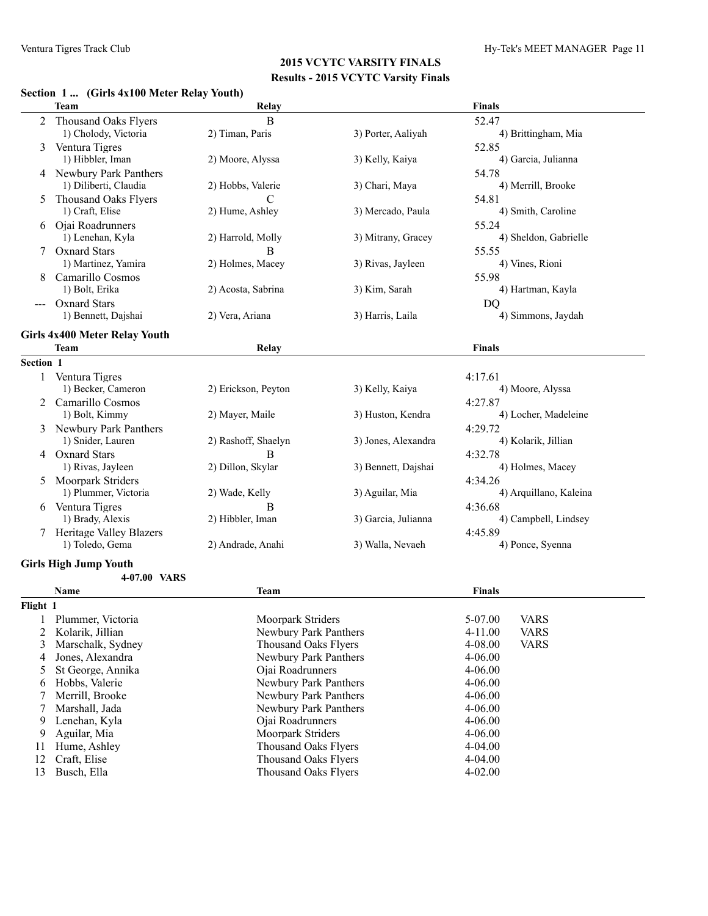## **Section 1 ... (Girls 4x100 Meter Relay Youth)**

|                | Team                                 | Relay                        |                     | <b>Finals</b>              |
|----------------|--------------------------------------|------------------------------|---------------------|----------------------------|
|                |                                      |                              |                     |                            |
|                | 2 Thousand Oaks Flyers               | B                            |                     | 52.47                      |
|                | 1) Cholody, Victoria                 | 2) Timan, Paris              | 3) Porter, Aaliyah  | 4) Brittingham, Mia        |
|                | 3 Ventura Tigres                     |                              |                     | 52.85                      |
|                | 1) Hibbler, Iman                     | 2) Moore, Alyssa             | 3) Kelly, Kaiya     | 4) Garcia, Julianna        |
|                | 4 Newbury Park Panthers              |                              |                     | 54.78                      |
|                | 1) Diliberti, Claudia                | 2) Hobbs, Valerie            | 3) Chari, Maya      | 4) Merrill, Brooke         |
| 5              | Thousand Oaks Flyers                 | C                            |                     | 54.81                      |
|                | 1) Craft, Elise                      | 2) Hume, Ashley              | 3) Mercado, Paula   | 4) Smith, Caroline         |
|                | 6 Ojai Roadrunners                   |                              |                     | 55.24                      |
|                | 1) Lenehan, Kyla                     | 2) Harrold, Molly            | 3) Mitrany, Gracey  | 4) Sheldon, Gabrielle      |
|                | 7 Oxnard Stars                       | B                            |                     | 55.55                      |
|                | 1) Martinez, Yamira                  | 2) Holmes, Macey             | 3) Rivas, Jayleen   | 4) Vines, Rioni            |
|                | Camarillo Cosmos                     |                              |                     | 55.98                      |
|                | 1) Bolt, Erika                       | 2) Acosta, Sabrina           | 3) Kim, Sarah       | 4) Hartman, Kayla          |
|                | <b>Oxnard Stars</b>                  |                              |                     | DQ                         |
|                | 1) Bennett, Dajshai                  | 2) Vera, Ariana              | 3) Harris, Laila    | 4) Simmons, Jaydah         |
|                | <b>Girls 4x400 Meter Relay Youth</b> |                              |                     |                            |
|                | Team                                 | Relay                        |                     | <b>Finals</b>              |
| Section 1      |                                      |                              |                     |                            |
| 1              | Ventura Tigres                       |                              |                     | 4:17.61                    |
|                | 1) Becker, Cameron                   | 2) Erickson, Peyton          | 3) Kelly, Kaiya     | 4) Moore, Alyssa           |
| $\overline{2}$ | Camarillo Cosmos                     |                              |                     | 4:27.87                    |
|                | 1) Bolt, Kimmy                       | 2) Mayer, Maile              | 3) Huston, Kendra   | 4) Locher, Madeleine       |
|                | 3 Newbury Park Panthers              |                              |                     | 4:29.72                    |
|                | 1) Snider, Lauren                    | 2) Rashoff, Shaelyn          | 3) Jones, Alexandra | 4) Kolarik, Jillian        |
| 4              | <b>Oxnard Stars</b>                  | B                            |                     | 4:32.78                    |
|                | 1) Rivas, Jayleen                    | 2) Dillon, Skylar            | 3) Bennett, Dajshai | 4) Holmes, Macey           |
| 5              | Moorpark Striders                    |                              |                     | 4:34.26                    |
|                | 1) Plummer, Victoria                 | 2) Wade, Kelly               | 3) Aguilar, Mia     | 4) Arquillano, Kaleina     |
|                | 6 Ventura Tigres                     | B                            |                     | 4:36.68                    |
|                | 1) Brady, Alexis                     | 2) Hibbler, Iman             | 3) Garcia, Julianna | 4) Campbell, Lindsey       |
|                | <b>Heritage Valley Blazers</b>       |                              |                     | 4:45.89                    |
|                | 1) Toledo, Gema                      | 2) Andrade, Anahi            | 3) Walla, Nevaeh    | 4) Ponce, Syenna           |
|                |                                      |                              |                     |                            |
|                | <b>Girls High Jump Youth</b>         |                              |                     |                            |
|                | 4-07.00 VARS                         |                              |                     |                            |
|                | Name                                 | <b>Team</b>                  |                     | <b>Finals</b>              |
| Flight 1       |                                      |                              |                     |                            |
| $\mathbf{I}$   | Plummer, Victoria                    | Moorpark Striders            |                     | 5-07.00<br><b>VARS</b>     |
| 2              | Kolarik, Jillian                     | Newbury Park Panthers        |                     | <b>VARS</b><br>$4 - 11.00$ |
| 3              | Marschalk, Sydney                    | <b>Thousand Oaks Flyers</b>  |                     | 4-08.00<br><b>VARS</b>     |
| 4              | Jones, Alexandra                     | <b>Newbury Park Panthers</b> |                     | 4-06.00                    |
| 5              | St George, Annika                    | Ojai Roadrunners             |                     | 4-06.00                    |
| 6              | Hobbs, Valerie                       | Newbury Park Panthers        |                     | 4-06.00                    |
| 7              | Merrill, Brooke                      | Newbury Park Panthers        |                     | 4-06.00                    |
| 7              | Marshall, Jada                       | <b>Newbury Park Panthers</b> |                     | 4-06.00                    |
| 9              | Lenehan, Kyla                        | Ojai Roadrunners             |                     | 4-06.00                    |
| 9              | Aguilar, Mia                         | Moorpark Striders            |                     | 4-06.00                    |
| 11             | Hume, Ashley                         | <b>Thousand Oaks Flyers</b>  |                     | 4-04.00                    |
| 12             | Craft, Elise                         | <b>Thousand Oaks Flyers</b>  |                     | 4-04.00                    |
| 13             | Busch, Ella                          | Thousand Oaks Flyers         |                     | 4-02.00                    |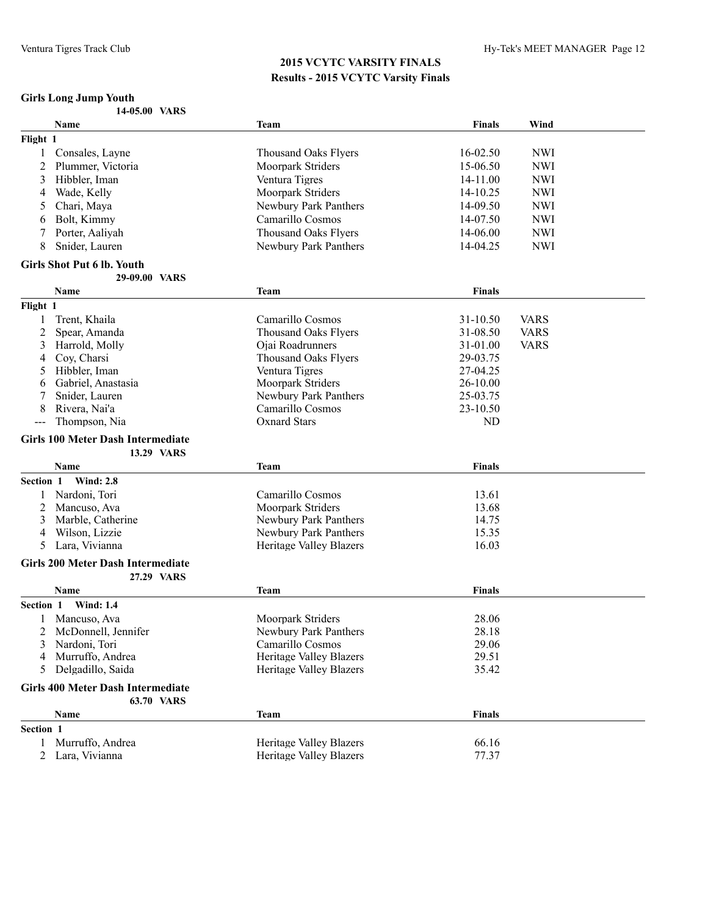# **Girls Long Jump Youth**

|                | Name                                     | Team                           | <b>Finals</b> | Wind        |  |
|----------------|------------------------------------------|--------------------------------|---------------|-------------|--|
| Flight 1       |                                          |                                |               |             |  |
| 1              | Consales, Layne                          | <b>Thousand Oaks Flyers</b>    | 16-02.50      | <b>NWI</b>  |  |
| 2              | Plummer, Victoria                        | Moorpark Striders              | 15-06.50      | <b>NWI</b>  |  |
| 3              | Hibbler, Iman                            | Ventura Tigres                 | 14-11.00      | <b>NWI</b>  |  |
| 4              | Wade, Kelly                              | Moorpark Striders              | 14-10.25      | <b>NWI</b>  |  |
| 5              | Chari, Maya                              | Newbury Park Panthers          | 14-09.50      | <b>NWI</b>  |  |
| 6              | Bolt, Kimmy                              | Camarillo Cosmos               | 14-07.50      | <b>NWI</b>  |  |
|                | Porter, Aaliyah                          | Thousand Oaks Flyers           | 14-06.00      | <b>NWI</b>  |  |
| 8              | Snider, Lauren                           | Newbury Park Panthers          | 14-04.25      | <b>NWI</b>  |  |
|                |                                          |                                |               |             |  |
|                | <b>Girls Shot Put 6 lb. Youth</b>        |                                |               |             |  |
|                | 29-09.00 VARS                            |                                |               |             |  |
|                | Name                                     | Team                           | <b>Finals</b> |             |  |
| Flight 1       |                                          |                                |               |             |  |
| 1              | Trent, Khaila                            | Camarillo Cosmos               | 31-10.50      | <b>VARS</b> |  |
| $\overline{c}$ | Spear, Amanda                            | Thousand Oaks Flyers           | 31-08.50      | <b>VARS</b> |  |
| 3              | Harrold, Molly                           | Ojai Roadrunners               | 31-01.00      | <b>VARS</b> |  |
| 4              | Coy, Charsi                              | <b>Thousand Oaks Flyers</b>    | 29-03.75      |             |  |
| 5              | Hibbler, Iman                            | Ventura Tigres                 | 27-04.25      |             |  |
| 6              | Gabriel, Anastasia                       | Moorpark Striders              | $26 - 10.00$  |             |  |
| 7              | Snider, Lauren                           | Newbury Park Panthers          | 25-03.75      |             |  |
| 8              | Rivera, Nai'a                            | Camarillo Cosmos               | 23-10.50      |             |  |
| $--$           | Thompson, Nia                            | <b>Oxnard Stars</b>            | ND            |             |  |
|                | <b>Girls 100 Meter Dash Intermediate</b> |                                |               |             |  |
|                | 13.29 VARS                               |                                |               |             |  |
|                | Name                                     | Team                           | <b>Finals</b> |             |  |
| Section 1      | <b>Wind: 2.8</b>                         |                                |               |             |  |
|                | Nardoni, Tori                            | Camarillo Cosmos               | 13.61         |             |  |
| 2              | Mancuso, Ava                             | Moorpark Striders              | 13.68         |             |  |
| 3              | Marble, Catherine                        | Newbury Park Panthers          | 14.75         |             |  |
| 4              | Wilson, Lizzie                           | Newbury Park Panthers          | 15.35         |             |  |
| 5              | Lara, Vivianna                           | Heritage Valley Blazers        | 16.03         |             |  |
|                |                                          |                                |               |             |  |
|                | <b>Girls 200 Meter Dash Intermediate</b> |                                |               |             |  |
|                | 27.29 VARS                               |                                |               |             |  |
|                | Name                                     | <b>Team</b>                    | <b>Finals</b> |             |  |
| Section 1      | <b>Wind: 1.4</b>                         |                                |               |             |  |
|                | Mancuso, Ava                             | Moorpark Striders              | 28.06         |             |  |
| 2              | McDonnell, Jennifer                      | Newbury Park Panthers          | 28.18         |             |  |
| 3              | Nardoni, Tori                            | Camarillo Cosmos               | 29.06         |             |  |
| 4              | Murruffo, Andrea                         | <b>Heritage Valley Blazers</b> | 29.51         |             |  |
| 5              | Delgadillo, Saida                        | <b>Heritage Valley Blazers</b> | 35.42         |             |  |
|                | <b>Girls 400 Meter Dash Intermediate</b> |                                |               |             |  |
|                | 63.70 VARS                               |                                |               |             |  |
|                | <b>Name</b>                              | <b>Team</b>                    | <b>Finals</b> |             |  |
| Section 1      |                                          |                                |               |             |  |
| 1              | Murruffo, Andrea                         | Heritage Valley Blazers        | 66.16         |             |  |
| 2              | Lara, Vivianna                           | <b>Heritage Valley Blazers</b> | 77.37         |             |  |
|                |                                          |                                |               |             |  |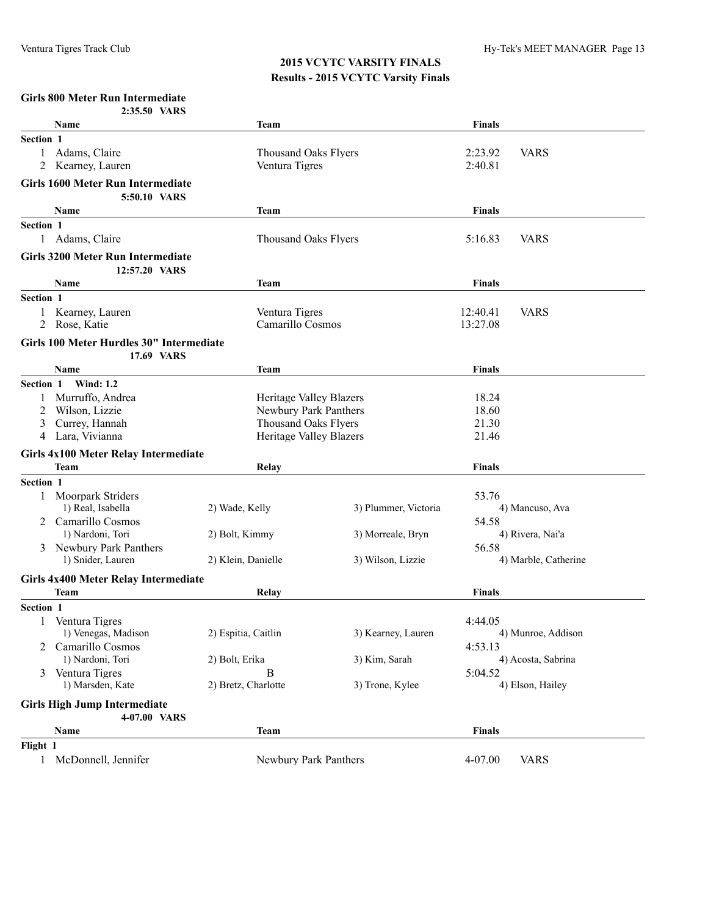#### **Girls 800 Meter Run Intermediate**

|                | 2:35.50 VARS                                              |                             |                                                  |                |                      |
|----------------|-----------------------------------------------------------|-----------------------------|--------------------------------------------------|----------------|----------------------|
|                | <b>Name</b>                                               | Team                        |                                                  | <b>Finals</b>  |                      |
| Section 1      |                                                           |                             |                                                  |                |                      |
| $\mathbf{1}$   | Adams, Claire                                             | <b>Thousand Oaks Flyers</b> |                                                  | 2:23.92        | <b>VARS</b>          |
| 2              | Kearney, Lauren                                           | Ventura Tigres              |                                                  | 2:40.81        |                      |
|                | <b>Girls 1600 Meter Run Intermediate</b>                  |                             |                                                  |                |                      |
|                | 5:50.10 VARS                                              |                             |                                                  |                |                      |
|                | Name                                                      | Team                        |                                                  | <b>Finals</b>  |                      |
| Section 1      |                                                           |                             |                                                  |                |                      |
|                | 1 Adams, Claire                                           | <b>Thousand Oaks Flyers</b> |                                                  | 5:16.83        | <b>VARS</b>          |
|                |                                                           |                             |                                                  |                |                      |
|                | <b>Girls 3200 Meter Run Intermediate</b><br>12:57.20 VARS |                             |                                                  |                |                      |
|                | Name                                                      | Team                        |                                                  | <b>Finals</b>  |                      |
| Section 1      |                                                           |                             |                                                  |                |                      |
| 1              | Kearney, Lauren                                           | Ventura Tigres              |                                                  | 12:40.41       | <b>VARS</b>          |
| 2              | Rose, Katie                                               | Camarillo Cosmos            |                                                  | 13:27.08       |                      |
|                |                                                           |                             |                                                  |                |                      |
|                | Girls 100 Meter Hurdles 30" Intermediate<br>17.69 VARS    |                             |                                                  |                |                      |
|                | <b>Name</b>                                               | Team                        |                                                  | <b>Finals</b>  |                      |
| Section 1      | <b>Wind: 1.2</b>                                          |                             |                                                  |                |                      |
|                | Murruffo, Andrea                                          |                             |                                                  | 18.24          |                      |
| 2              | Wilson, Lizzie                                            |                             | Heritage Valley Blazers<br>Newbury Park Panthers |                |                      |
| 3              | Currey, Hannah                                            | <b>Thousand Oaks Flyers</b> |                                                  | 18.60<br>21.30 |                      |
| 4              | Lara, Vivianna                                            | Heritage Valley Blazers     |                                                  | 21.46          |                      |
|                | Girls 4x100 Meter Relay Intermediate                      |                             |                                                  |                |                      |
|                | <b>Team</b>                                               | Relay                       |                                                  | <b>Finals</b>  |                      |
| Section 1      |                                                           |                             |                                                  |                |                      |
|                | <b>Moorpark Striders</b>                                  |                             |                                                  | 53.76          |                      |
|                | 1) Real, Isabella                                         | 2) Wade, Kelly              | 3) Plummer, Victoria                             |                | 4) Mancuso, Ava      |
| $\overline{2}$ | Camarillo Cosmos                                          |                             |                                                  | 54.58          |                      |
|                | 1) Nardoni, Tori                                          | 2) Bolt, Kimmy              | 3) Morreale, Bryn                                |                | 4) Rivera, Nai'a     |
| 3              | Newbury Park Panthers                                     |                             |                                                  | 56.58          |                      |
|                | 1) Snider, Lauren                                         | 2) Klein, Danielle          | 3) Wilson, Lizzie                                |                | 4) Marble, Catherine |
|                | Girls 4x400 Meter Relay Intermediate                      |                             |                                                  |                |                      |
|                | <b>Team</b>                                               | Relay                       |                                                  | <b>Finals</b>  |                      |
| Section 1      |                                                           |                             |                                                  |                |                      |
|                | Ventura Tigres                                            |                             |                                                  | 4:44.05        |                      |
|                | 1) Venegas, Madison                                       | 2) Espitia, Caitlin         | 3) Kearney, Lauren                               |                | 4) Munroe, Addison   |
| 2              | Camarillo Cosmos                                          |                             |                                                  | 4:53.13        |                      |
|                | 1) Nardoni, Tori                                          | 2) Bolt, Erika              | 3) Kim, Sarah                                    |                | 4) Acosta, Sabrina   |
| 3              | Ventura Tigres                                            | B                           |                                                  | 5:04.52        |                      |
|                | 1) Marsden, Kate                                          | 2) Bretz, Charlotte         | 3) Trone, Kylee                                  |                | 4) Elson, Hailey     |
|                | <b>Girls High Jump Intermediate</b>                       |                             |                                                  |                |                      |
|                | 4-07.00 VARS                                              |                             |                                                  |                |                      |
|                | Name                                                      | <b>Team</b>                 |                                                  | <b>Finals</b>  |                      |
| Flight 1       |                                                           |                             |                                                  |                |                      |
|                | 1 McDonnell, Jennifer                                     | Newbury Park Panthers       |                                                  | 4-07.00        | <b>VARS</b>          |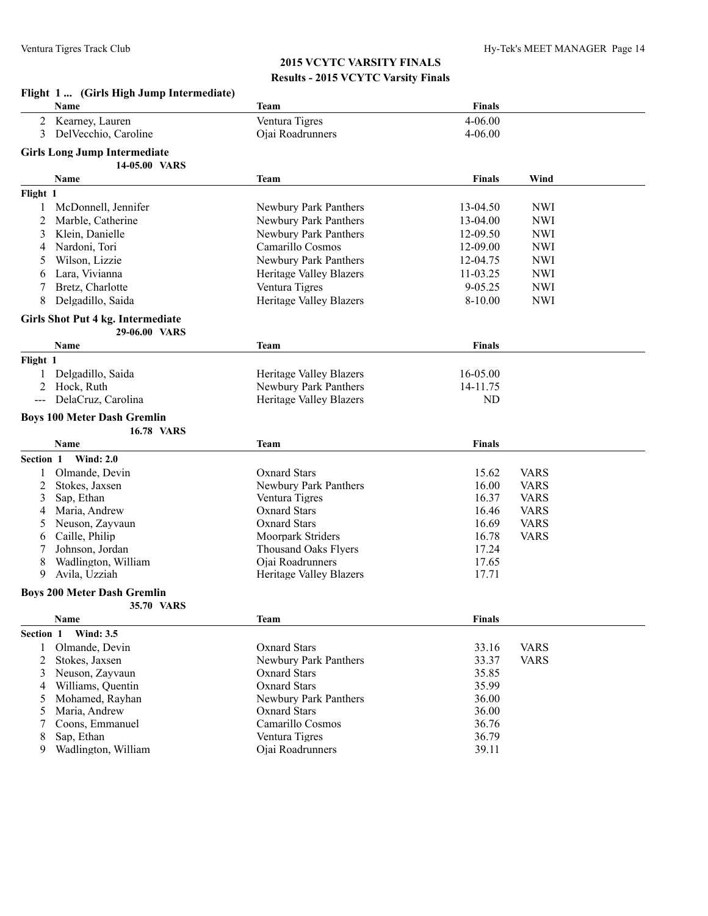|           | Flight 1  (Girls High Jump Intermediate)                |                                |               |             |  |  |  |
|-----------|---------------------------------------------------------|--------------------------------|---------------|-------------|--|--|--|
|           | Name                                                    | Team                           | <b>Finals</b> |             |  |  |  |
| 2         | Kearney, Lauren                                         | Ventura Tigres                 | 4-06.00       |             |  |  |  |
| 3         | Del Vecchio, Caroline                                   | Ojai Roadrunners               | $4 - 06.00$   |             |  |  |  |
|           |                                                         |                                |               |             |  |  |  |
|           | <b>Girls Long Jump Intermediate</b><br>14-05.00 VARS    |                                |               |             |  |  |  |
|           | Name                                                    | <b>Team</b>                    | Finals        | Wind        |  |  |  |
| Flight 1  |                                                         |                                |               |             |  |  |  |
|           |                                                         |                                |               |             |  |  |  |
| 1         | McDonnell, Jennifer                                     | Newbury Park Panthers          | 13-04.50      | <b>NWI</b>  |  |  |  |
| 2         | Marble, Catherine                                       | Newbury Park Panthers          | 13-04.00      | <b>NWI</b>  |  |  |  |
| 3         | Klein, Danielle                                         | Newbury Park Panthers          | 12-09.50      | <b>NWI</b>  |  |  |  |
| 4         | Nardoni, Tori                                           | Camarillo Cosmos               | 12-09.00      | <b>NWI</b>  |  |  |  |
| 5         | Wilson, Lizzie                                          | Newbury Park Panthers          | 12-04.75      | <b>NWI</b>  |  |  |  |
| 6         | Lara, Vivianna                                          | Heritage Valley Blazers        | 11-03.25      | <b>NWI</b>  |  |  |  |
| 7         | Bretz, Charlotte                                        | Ventura Tigres                 | 9-05.25       | <b>NWI</b>  |  |  |  |
| 8         | Delgadillo, Saida                                       | Heritage Valley Blazers        | $8 - 10.00$   | <b>NWI</b>  |  |  |  |
|           | Girls Shot Put 4 kg. Intermediate                       |                                |               |             |  |  |  |
|           | 29-06.00 VARS                                           |                                |               |             |  |  |  |
|           | <b>Name</b>                                             | <b>Team</b>                    | Finals        |             |  |  |  |
| Flight 1  |                                                         |                                |               |             |  |  |  |
| 1         | Delgadillo, Saida                                       | <b>Heritage Valley Blazers</b> | 16-05.00      |             |  |  |  |
| 2         | Hock, Ruth                                              | Newbury Park Panthers          | 14-11.75      |             |  |  |  |
| $---$     | DelaCruz, Carolina                                      | <b>Heritage Valley Blazers</b> | ND            |             |  |  |  |
|           |                                                         |                                |               |             |  |  |  |
|           | <b>Boys 100 Meter Dash Gremlin</b><br><b>16.78 VARS</b> |                                |               |             |  |  |  |
|           |                                                         |                                |               |             |  |  |  |
|           | Name                                                    | <b>Team</b>                    | <b>Finals</b> |             |  |  |  |
| Section 1 | <b>Wind: 2.0</b>                                        |                                |               |             |  |  |  |
|           | Olmande, Devin                                          | <b>Oxnard Stars</b>            | 15.62         | <b>VARS</b> |  |  |  |
| 2         | Stokes, Jaxsen                                          | Newbury Park Panthers          | 16.00         | <b>VARS</b> |  |  |  |
| 3         | Sap, Ethan                                              | Ventura Tigres                 | 16.37         | <b>VARS</b> |  |  |  |
| 4         | Maria, Andrew                                           | <b>Oxnard Stars</b>            | 16.46         | <b>VARS</b> |  |  |  |
| 5         | Neuson, Zayvaun                                         | <b>Oxnard Stars</b>            | 16.69         | <b>VARS</b> |  |  |  |
| 6         | Caille, Philip                                          | Moorpark Striders              | 16.78         | <b>VARS</b> |  |  |  |
| 7         | Johnson, Jordan                                         | <b>Thousand Oaks Flyers</b>    | 17.24         |             |  |  |  |
| 8         | Wadlington, William                                     | Ojai Roadrunners               | 17.65         |             |  |  |  |
| 9         | Avila, Uzziah                                           | Heritage Valley Blazers        | 17.71         |             |  |  |  |
|           | <b>Boys 200 Meter Dash Gremlin</b>                      |                                |               |             |  |  |  |
|           | 35.70 VARS                                              |                                |               |             |  |  |  |
|           | Name                                                    | <b>Team</b>                    | <b>Finals</b> |             |  |  |  |
| Section 1 | <b>Wind: 3.5</b>                                        |                                |               |             |  |  |  |
| 1         | Olmande, Devin                                          | <b>Oxnard Stars</b>            | 33.16         | <b>VARS</b> |  |  |  |
| 2         | Stokes, Jaxsen                                          | Newbury Park Panthers          | 33.37         | <b>VARS</b> |  |  |  |
| 3         | Neuson, Zavvaun                                         | <b>Oxnard Stars</b>            | 35.85         |             |  |  |  |
| 4         | Williams, Quentin                                       | <b>Oxnard Stars</b>            | 35.99         |             |  |  |  |
| 5         | Mohamed, Rayhan                                         | Newbury Park Panthers          | 36.00         |             |  |  |  |
| 5         | Maria, Andrew                                           | <b>Oxnard Stars</b>            | 36.00         |             |  |  |  |
|           | Coons, Emmanuel                                         | Camarillo Cosmos               | 36.76         |             |  |  |  |
| 8         | Sap, Ethan                                              | Ventura Tigres                 | 36.79         |             |  |  |  |
| 9         | Wadlington, William                                     | Ojai Roadrunners               | 39.11         |             |  |  |  |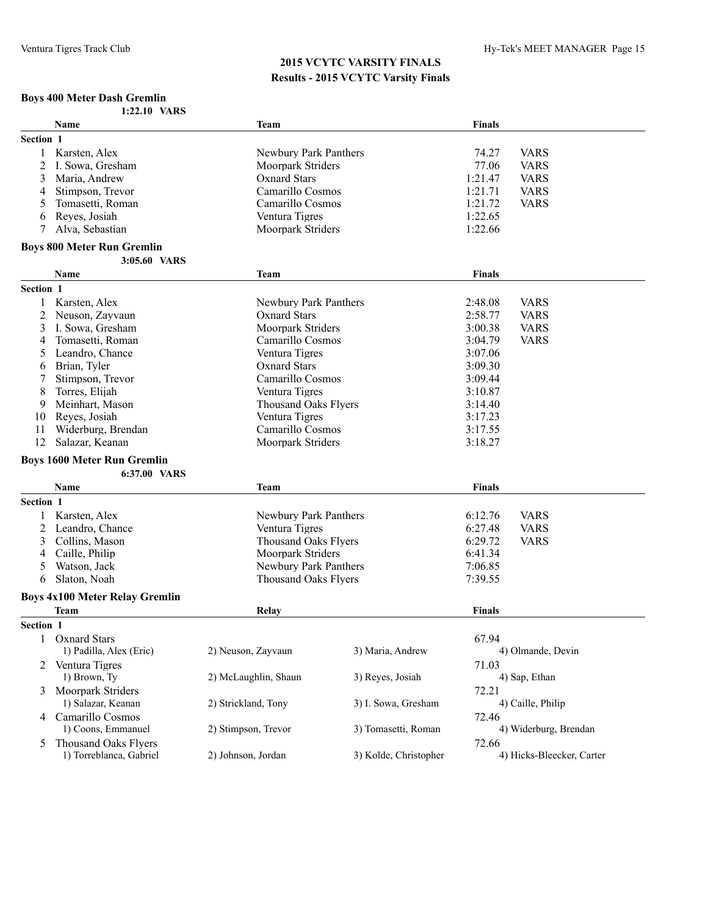#### **Boys 400 Meter Dash Gremlin**

|           | 1:22.10 VARS                          |                             |                       |               |                           |
|-----------|---------------------------------------|-----------------------------|-----------------------|---------------|---------------------------|
|           | <b>Name</b>                           | Team                        |                       | <b>Finals</b> |                           |
| Section 1 |                                       |                             |                       |               |                           |
| 1         | Karsten, Alex                         | Newbury Park Panthers       |                       | 74.27         | <b>VARS</b>               |
| 2         | I. Sowa, Gresham                      | Moorpark Striders           |                       | 77.06         | <b>VARS</b>               |
| 3         | Maria, Andrew                         | <b>Oxnard Stars</b>         |                       | 1:21.47       | <b>VARS</b>               |
| 4         | Stimpson, Trevor                      | Camarillo Cosmos            |                       | 1:21.71       | <b>VARS</b>               |
| 5         | Tomasetti, Roman                      | Camarillo Cosmos            |                       | 1:21.72       | <b>VARS</b>               |
| 6         | Reyes, Josiah                         | Ventura Tigres              |                       | 1:22.65       |                           |
| 7         | Alva, Sebastian                       | Moorpark Striders           |                       | 1:22.66       |                           |
|           | <b>Boys 800 Meter Run Gremlin</b>     |                             |                       |               |                           |
|           | 3:05.60 VARS                          |                             |                       |               |                           |
|           | <b>Name</b>                           | <b>Team</b>                 |                       | <b>Finals</b> |                           |
| Section 1 |                                       |                             |                       |               |                           |
| 1         | Karsten, Alex                         | Newbury Park Panthers       |                       | 2:48.08       | <b>VARS</b>               |
| 2         | Neuson, Zayvaun                       | <b>Oxnard Stars</b>         |                       | 2:58.77       | <b>VARS</b>               |
| 3         | I. Sowa, Gresham                      | Moorpark Striders           |                       | 3:00.38       | <b>VARS</b>               |
| 4         | Tomasetti, Roman                      | Camarillo Cosmos            |                       | 3:04.79       | <b>VARS</b>               |
| 5         | Leandro, Chance                       | Ventura Tigres              |                       | 3:07.06       |                           |
| 6         | Brian, Tyler                          | Oxnard Stars                |                       | 3:09.30       |                           |
| 7         | Stimpson, Trevor                      | Camarillo Cosmos            |                       | 3:09.44       |                           |
| 8         | Torres, Elijah                        | Ventura Tigres              |                       | 3:10.87       |                           |
| 9         | Meinhart, Mason                       | <b>Thousand Oaks Flyers</b> |                       | 3:14.40       |                           |
| 10        | Reyes, Josiah                         | Ventura Tigres              |                       | 3:17.23       |                           |
| 11        | Widerburg, Brendan                    | Camarillo Cosmos            |                       | 3:17.55       |                           |
| 12        | Salazar, Keanan                       | Moorpark Striders           |                       | 3:18.27       |                           |
|           | <b>Boys 1600 Meter Run Gremlin</b>    |                             |                       |               |                           |
|           | 6:37.00 VARS                          |                             |                       |               |                           |
|           | Name                                  | Team                        |                       | <b>Finals</b> |                           |
| Section 1 |                                       |                             |                       |               |                           |
|           | Karsten, Alex                         | Newbury Park Panthers       |                       | 6:12.76       | <b>VARS</b>               |
| 2         | Leandro, Chance                       | Ventura Tigres              |                       | 6:27.48       | <b>VARS</b>               |
| 3         | Collins, Mason                        | <b>Thousand Oaks Flyers</b> |                       | 6:29.72       | <b>VARS</b>               |
| 4         | Caille, Philip                        | Moorpark Striders           |                       | 6:41.34       |                           |
| 5         | Watson, Jack                          | Newbury Park Panthers       |                       | 7:06.85       |                           |
| 6         | Slaton, Noah                          | <b>Thousand Oaks Flyers</b> |                       | 7:39.55       |                           |
|           | <b>Boys 4x100 Meter Relay Gremlin</b> |                             |                       |               |                           |
|           | <b>Team</b>                           | Relay                       |                       | <b>Finals</b> |                           |
| Section 1 |                                       |                             |                       |               |                           |
| 1         | <b>Oxnard Stars</b>                   |                             |                       | 67.94         |                           |
|           | 1) Padilla, Alex (Eric)               | 2) Neuson, Zayvaun          | 3) Maria, Andrew      |               | 4) Olmande, Devin         |
|           | 2 Ventura Tigres                      |                             |                       | 71.03         |                           |
|           | 1) Brown, Ty                          | 2) McLaughlin, Shaun        | 3) Reyes, Josiah      |               | 4) Sap, Ethan             |
| 3         | Moorpark Striders                     |                             |                       | 72.21         |                           |
|           | 1) Salazar, Keanan                    | 2) Strickland, Tony         | 3) I. Sowa, Gresham   |               | 4) Caille, Philip         |
| 4         | Camarillo Cosmos                      |                             |                       | 72.46         |                           |
|           | 1) Coons, Emmanuel                    | 2) Stimpson, Trevor         | 3) Tomasetti, Roman   |               | 4) Widerburg, Brendan     |
| 5         | <b>Thousand Oaks Flyers</b>           |                             |                       | 72.66         |                           |
|           | 1) Torreblanca, Gabriel               | 2) Johnson, Jordan          | 3) Kolde, Christopher |               | 4) Hicks-Bleecker, Carter |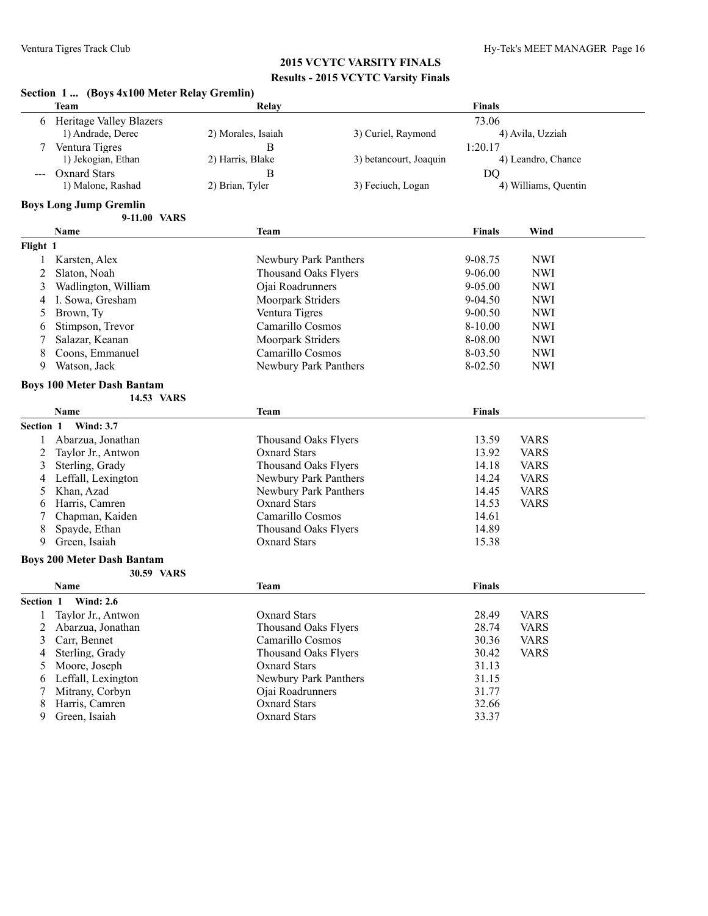|      | Section 1  (Boys 4x100 Meter Relay Gremlin) |
|------|---------------------------------------------|
| Team | Relay                                       |

|           | <b>Team</b>                       | <b>Relay</b>                | <b>Finals</b>          |               |                      |
|-----------|-----------------------------------|-----------------------------|------------------------|---------------|----------------------|
| 6         | <b>Heritage Valley Blazers</b>    |                             |                        | 73.06         |                      |
|           | 1) Andrade, Derec                 | 2) Morales, Isaiah          | 3) Curiel, Raymond     |               | 4) Avila, Uzziah     |
|           | Ventura Tigres                    | B                           |                        | 1:20.17       |                      |
|           | 1) Jekogian, Ethan                | 2) Harris, Blake            | 3) betancourt, Joaquin |               | 4) Leandro, Chance   |
|           | Oxnard Stars                      | B                           |                        | <b>DQ</b>     |                      |
|           | 1) Malone, Rashad                 | 2) Brian, Tyler             | 3) Feciuch, Logan      |               | 4) Williams, Quentin |
|           | <b>Boys Long Jump Gremlin</b>     |                             |                        |               |                      |
|           | 9-11.00 VARS                      |                             |                        |               |                      |
|           | <b>Name</b>                       | <b>Team</b>                 |                        | <b>Finals</b> | Wind                 |
| Flight 1  |                                   |                             |                        |               |                      |
|           | Karsten, Alex                     | Newbury Park Panthers       |                        | 9-08.75       | <b>NWI</b>           |
| 2         | Slaton, Noah                      | <b>Thousand Oaks Flyers</b> |                        | $9-06.00$     | <b>NWI</b>           |
| 3         | Wadlington, William               | Ojai Roadrunners            |                        | $9 - 05.00$   | <b>NWI</b>           |
| 4         | I. Sowa, Gresham                  | Moorpark Striders           |                        | $9 - 04.50$   | <b>NWI</b>           |
| 5         | Brown, Ty                         | Ventura Tigres              |                        | $9 - 00.50$   | <b>NWI</b>           |
| 6         | Stimpson, Trevor                  | Camarillo Cosmos            |                        | 8-10.00       | <b>NWI</b>           |
| 7         | Salazar, Keanan                   | Moorpark Striders           |                        | 8-08.00       | <b>NWI</b>           |
| 8         | Coons, Emmanuel                   | Camarillo Cosmos            |                        | 8-03.50       | <b>NWI</b>           |
| 9         | Watson, Jack                      | Newbury Park Panthers       |                        | 8-02.50       | <b>NWI</b>           |
|           | <b>Boys 100 Meter Dash Bantam</b> |                             |                        |               |                      |
|           | 14.53 VARS                        |                             |                        |               |                      |
|           | <b>Name</b>                       | <b>Team</b>                 |                        | <b>Finals</b> |                      |
| Section 1 | <b>Wind: 3.7</b>                  |                             |                        |               |                      |
|           | Abarzua, Jonathan                 | <b>Thousand Oaks Flyers</b> |                        | 13.59         | <b>VARS</b>          |
| 2         | Taylor Jr., Antwon                | <b>Oxnard Stars</b>         |                        | 13.92         | <b>VARS</b>          |
| 3         | Sterling, Grady                   | <b>Thousand Oaks Flyers</b> |                        | 14.18         | <b>VARS</b>          |
| 4         | Leffall, Lexington                | Newbury Park Panthers       |                        | 14.24         | <b>VARS</b>          |
| 5         | Khan, Azad                        | Newbury Park Panthers       |                        | 14.45         | <b>VARS</b>          |
| 6         | Harris, Camren                    | <b>Oxnard Stars</b>         |                        | 14.53         | <b>VARS</b>          |
|           | Chapman, Kaiden                   | Camarillo Cosmos            |                        | 14.61         |                      |
| 8         | Spayde, Ethan                     | <b>Thousand Oaks Flyers</b> |                        | 14.89         |                      |
| 9         | Green, Isaiah                     | <b>Oxnard Stars</b>         |                        | 15.38         |                      |

#### **Boys 200 Meter Dash Bantam**

|                  | 30.59 VARS         |                       |               |             |
|------------------|--------------------|-----------------------|---------------|-------------|
|                  | <b>Name</b>        | Team                  | <b>Finals</b> |             |
| <b>Section 1</b> | <b>Wind: 2.6</b>   |                       |               |             |
|                  | Taylor Jr., Antwon | Oxnard Stars          | 28.49         | <b>VARS</b> |
|                  | Abarzua, Jonathan  | Thousand Oaks Flyers  | 28.74         | <b>VARS</b> |
|                  | 3 Carr, Bennet     | Camarillo Cosmos      | 30.36         | <b>VARS</b> |
| 4                | Sterling, Grady    | Thousand Oaks Flyers  | 30.42         | <b>VARS</b> |
|                  | Moore, Joseph      | <b>Oxnard Stars</b>   | 31.13         |             |
| 6                | Leffall, Lexington | Newbury Park Panthers | 31.15         |             |
|                  | Mitrany, Corbyn    | Oiai Roadrunners      | 31.77         |             |
| 8                | Harris, Camren     | <b>Oxnard Stars</b>   | 32.66         |             |
| 9                | Green, Isaiah      | <b>Oxnard Stars</b>   | 33.37         |             |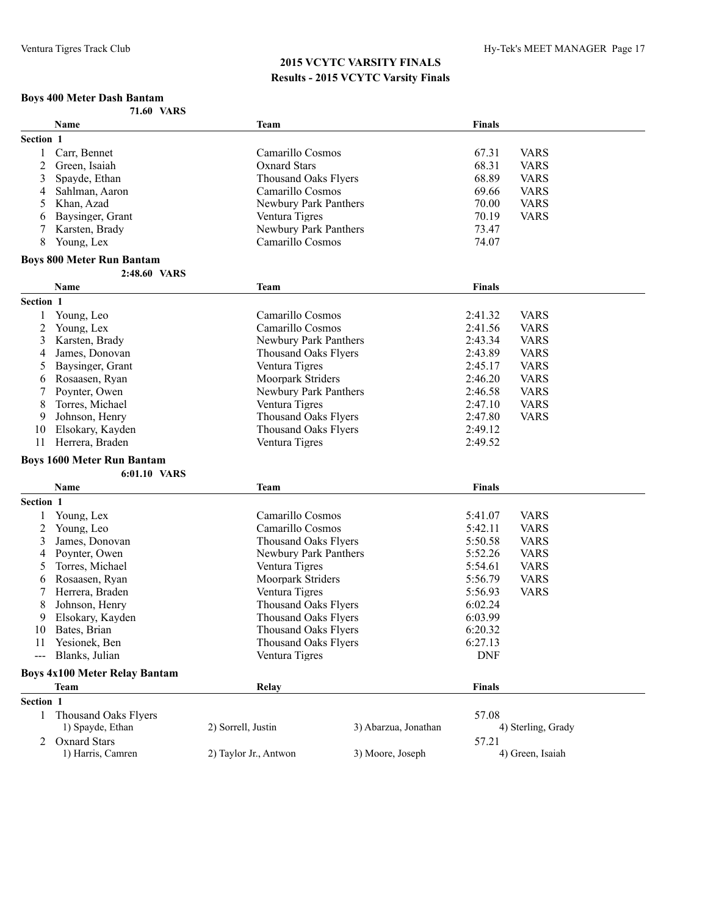#### **Boys 400 Meter Dash Bantam**

|           | <b>71.60 VARS</b>                    |                             |                      |               |                    |
|-----------|--------------------------------------|-----------------------------|----------------------|---------------|--------------------|
|           | <b>Name</b>                          | <b>Team</b>                 |                      | <b>Finals</b> |                    |
| Section 1 |                                      |                             |                      |               |                    |
| 1         | Carr, Bennet                         | Camarillo Cosmos            |                      | 67.31         | <b>VARS</b>        |
| 2         | Green, Isaiah                        | <b>Oxnard Stars</b>         |                      | 68.31         | <b>VARS</b>        |
| 3         | Spayde, Ethan                        | <b>Thousand Oaks Flyers</b> |                      | 68.89         | <b>VARS</b>        |
| 4         | Sahlman, Aaron                       | Camarillo Cosmos            |                      | 69.66         | <b>VARS</b>        |
| 5         | Khan, Azad                           | Newbury Park Panthers       |                      | 70.00         | <b>VARS</b>        |
| 6         | Baysinger, Grant                     | Ventura Tigres              |                      | 70.19         | <b>VARS</b>        |
| 7         | Karsten, Brady                       | Newbury Park Panthers       |                      | 73.47         |                    |
| 8         | Young, Lex                           | Camarillo Cosmos            |                      | 74.07         |                    |
|           | <b>Boys 800 Meter Run Bantam</b>     |                             |                      |               |                    |
|           | 2:48.60 VARS                         |                             |                      |               |                    |
|           | Name                                 | <b>Team</b>                 |                      | <b>Finals</b> |                    |
| Section 1 |                                      |                             |                      |               |                    |
|           | Young, Leo                           | Camarillo Cosmos            |                      | 2:41.32       | <b>VARS</b>        |
| 2         | Young, Lex                           | Camarillo Cosmos            |                      | 2:41.56       | <b>VARS</b>        |
| 3         | Karsten, Brady                       | Newbury Park Panthers       |                      | 2:43.34       | <b>VARS</b>        |
| 4         | James, Donovan                       | Thousand Oaks Flyers        |                      | 2:43.89       | <b>VARS</b>        |
| 5         | Baysinger, Grant                     | Ventura Tigres              |                      | 2:45.17       | <b>VARS</b>        |
| 6         | Rosaasen, Ryan                       | Moorpark Striders           |                      | 2:46.20       | <b>VARS</b>        |
| 7         | Poynter, Owen                        | Newbury Park Panthers       |                      | 2:46.58       | <b>VARS</b>        |
| 8         | Torres, Michael                      | Ventura Tigres              |                      | 2:47.10       | <b>VARS</b>        |
| 9         | Johnson, Henry                       | <b>Thousand Oaks Flyers</b> |                      | 2:47.80       | <b>VARS</b>        |
| 10        | Elsokary, Kayden                     | <b>Thousand Oaks Flyers</b> |                      | 2:49.12       |                    |
| 11        | Herrera, Braden                      | Ventura Tigres              |                      | 2:49.52       |                    |
|           | <b>Boys 1600 Meter Run Bantam</b>    |                             |                      |               |                    |
|           | 6:01.10 VARS                         |                             |                      |               |                    |
|           | Name                                 | <b>Team</b>                 |                      | <b>Finals</b> |                    |
| Section 1 |                                      |                             |                      |               |                    |
| 1         | Young, Lex                           | Camarillo Cosmos            |                      | 5:41.07       | <b>VARS</b>        |
| 2         | Young, Leo                           | Camarillo Cosmos            |                      | 5:42.11       | <b>VARS</b>        |
| 3         | James, Donovan                       | <b>Thousand Oaks Flyers</b> |                      | 5:50.58       | <b>VARS</b>        |
| 4         | Poynter, Owen                        | Newbury Park Panthers       |                      | 5:52.26       | <b>VARS</b>        |
| 5         | Torres, Michael                      | Ventura Tigres              |                      | 5:54.61       | <b>VARS</b>        |
| 6         | Rosaasen, Ryan                       | Moorpark Striders           |                      | 5:56.79       | <b>VARS</b>        |
| 7         | Herrera, Braden                      | Ventura Tigres              |                      | 5:56.93       | <b>VARS</b>        |
| 8         | Johnson, Henry                       | <b>Thousand Oaks Flyers</b> |                      | 6:02.24       |                    |
| 9         | Elsokary, Kayden                     | <b>Thousand Oaks Flyers</b> |                      | 6:03.99       |                    |
| 10        | Bates, Brian                         | <b>Thousand Oaks Flyers</b> |                      | 6:20.32       |                    |
| 11        | Yesionek, Ben                        | <b>Thousand Oaks Flyers</b> |                      | 6:27.13       |                    |
|           | Blanks, Julian                       | Ventura Tigres              |                      | <b>DNF</b>    |                    |
|           | <b>Boys 4x100 Meter Relay Bantam</b> |                             |                      |               |                    |
|           | Team                                 | Relay                       |                      | <b>Finals</b> |                    |
| Section 1 |                                      |                             |                      |               |                    |
| 1         | <b>Thousand Oaks Flyers</b>          |                             |                      | 57.08         |                    |
|           | 1) Spayde, Ethan                     | 2) Sorrell, Justin          | 3) Abarzua, Jonathan |               | 4) Sterling, Grady |
|           | <b>Oxnard Stars</b>                  |                             |                      | 57.21         |                    |
| 2         | 1) Harris, Camren                    | 2) Taylor Jr., Antwon       | 3) Moore, Joseph     |               | 4) Green, Isaiah   |
|           |                                      |                             |                      |               |                    |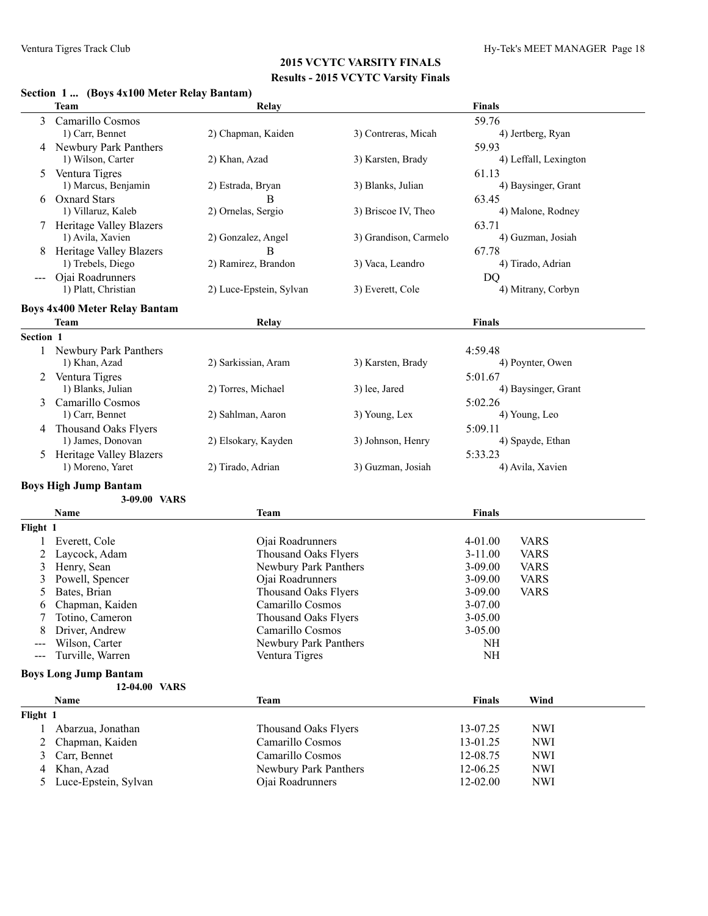#### **Section 1 ... (Boys 4x100 Meter Relay Bantam)**

|                     | <b>Team</b>                          | Relay                                           |                       | <b>Finals</b>              |                       |
|---------------------|--------------------------------------|-------------------------------------------------|-----------------------|----------------------------|-----------------------|
| 3                   | Camarillo Cosmos                     |                                                 |                       | 59.76                      |                       |
|                     | 1) Carr, Bennet                      | 2) Chapman, Kaiden                              | 3) Contreras, Micah   |                            | 4) Jertberg, Ryan     |
| 4                   | Newbury Park Panthers                |                                                 |                       | 59.93                      |                       |
|                     | 1) Wilson, Carter                    | 2) Khan, Azad                                   | 3) Karsten, Brady     |                            | 4) Leffall, Lexington |
| 5                   | Ventura Tigres                       |                                                 |                       | 61.13                      |                       |
|                     | 1) Marcus, Benjamin                  | 2) Estrada, Bryan                               | 3) Blanks, Julian     |                            | 4) Baysinger, Grant   |
| 6                   | <b>Oxnard Stars</b>                  | в                                               |                       | 63.45                      |                       |
|                     | 1) Villaruz, Kaleb                   | 2) Ornelas, Sergio                              | 3) Briscoe IV, Theo   |                            | 4) Malone, Rodney     |
|                     | 7 Heritage Valley Blazers            |                                                 |                       | 63.71                      |                       |
|                     | 1) Avila, Xavien                     | 2) Gonzalez, Angel                              | 3) Grandison, Carmelo |                            | 4) Guzman, Josiah     |
| 8                   | <b>Heritage Valley Blazers</b>       | B                                               |                       | 67.78                      |                       |
|                     | 1) Trebels, Diego                    | 2) Ramirez, Brandon                             | 3) Vaca, Leandro      |                            | 4) Tirado, Adrian     |
|                     | Ojai Roadrunners                     |                                                 |                       |                            |                       |
|                     | 1) Platt, Christian                  | 2) Luce-Epstein, Sylvan                         | 3) Everett, Cole      | DQ                         | 4) Mitrany, Corbyn    |
|                     |                                      |                                                 |                       |                            |                       |
|                     | <b>Boys 4x400 Meter Relay Bantam</b> |                                                 |                       |                            |                       |
|                     | Team                                 | Relay                                           |                       | <b>Finals</b>              |                       |
| Section 1           |                                      |                                                 |                       |                            |                       |
|                     | <b>Newbury Park Panthers</b>         |                                                 |                       | 4:59.48                    |                       |
|                     | 1) Khan, Azad                        | 2) Sarkissian, Aram                             | 3) Karsten, Brady     |                            | 4) Poynter, Owen      |
| 2                   | Ventura Tigres                       |                                                 |                       | 5:01.67                    |                       |
|                     | 1) Blanks, Julian                    | 2) Torres, Michael                              | 3) lee, Jared         |                            | 4) Baysinger, Grant   |
| 3                   | Camarillo Cosmos                     |                                                 |                       | 5:02.26                    |                       |
|                     | 1) Carr, Bennet                      | 2) Sahlman, Aaron                               | 3) Young, Lex         |                            | 4) Young, Leo         |
| 4                   | Thousand Oaks Flyers                 |                                                 |                       | 5:09.11                    |                       |
|                     | 1) James, Donovan                    | 2) Elsokary, Kayden                             | 3) Johnson, Henry     |                            | 4) Spayde, Ethan      |
| 5                   | <b>Heritage Valley Blazers</b>       |                                                 |                       | 5:33.23                    |                       |
|                     | 1) Moreno, Yaret                     | 2) Tirado, Adrian                               | 3) Guzman, Josiah     |                            | 4) Avila, Xavien      |
|                     | <b>Boys High Jump Bantam</b>         |                                                 |                       |                            |                       |
|                     | 3-09.00 VARS                         |                                                 |                       |                            |                       |
|                     | Name                                 | <b>Team</b>                                     |                       | <b>Finals</b>              |                       |
| Flight 1            |                                      |                                                 |                       |                            |                       |
|                     | Everett, Cole                        | Ojai Roadrunners                                |                       | 4-01.00                    | <b>VARS</b>           |
| 2                   | Laycock, Adam                        | Thousand Oaks Flyers                            |                       | $3 - 11.00$                | <b>VARS</b>           |
| 3                   | Henry, Sean                          | Newbury Park Panthers                           |                       | $3 - 09.00$                | <b>VARS</b>           |
|                     |                                      |                                                 |                       |                            |                       |
| 3                   | Powell, Spencer                      | Ojai Roadrunners                                |                       | $3 - 09.00$                | <b>VARS</b>           |
| 5<br>6              | Bates, Brian<br>Chapman, Kaiden      | <b>Thousand Oaks Flyers</b><br>Camarillo Cosmos |                       | $3 - 09.00$<br>$3 - 07.00$ | <b>VARS</b>           |
|                     |                                      |                                                 |                       |                            |                       |
| 7                   | Totino, Cameron                      | Thousand Oaks Flyers                            |                       | 3-05.00                    |                       |
| 8                   | Driver, Andrew                       | Camarillo Cosmos<br>Newbury Park Panthers       |                       | $3 - 05.00$                |                       |
|                     | Wilson, Carter                       |                                                 |                       | <b>NH</b>                  |                       |
| $\qquad \qquad - -$ | Turville, Warren                     | Ventura Tigres                                  |                       | <b>NH</b>                  |                       |
|                     | <b>Boys Long Jump Bantam</b>         |                                                 |                       |                            |                       |
|                     | 12-04.00 VARS                        |                                                 |                       |                            |                       |
|                     | Name                                 | <b>Team</b>                                     |                       | <b>Finals</b>              | Wind                  |
| Flight 1            |                                      |                                                 |                       |                            |                       |
| 1                   | Abarzua, Jonathan                    | <b>Thousand Oaks Flyers</b>                     |                       | 13-07.25                   | <b>NWI</b>            |
| 2                   | Chapman, Kaiden                      | Camarillo Cosmos                                |                       | 13-01.25                   | <b>NWI</b>            |
| 3                   | Carr, Bennet                         | Camarillo Cosmos                                |                       | 12-08.75                   | <b>NWI</b>            |
| 4                   | Khan, Azad                           | Newbury Park Panthers                           |                       | 12-06.25                   | <b>NWI</b>            |
| 5                   | Luce-Epstein, Sylvan                 | Ojai Roadrunners                                |                       | 12-02.00                   | <b>NWI</b>            |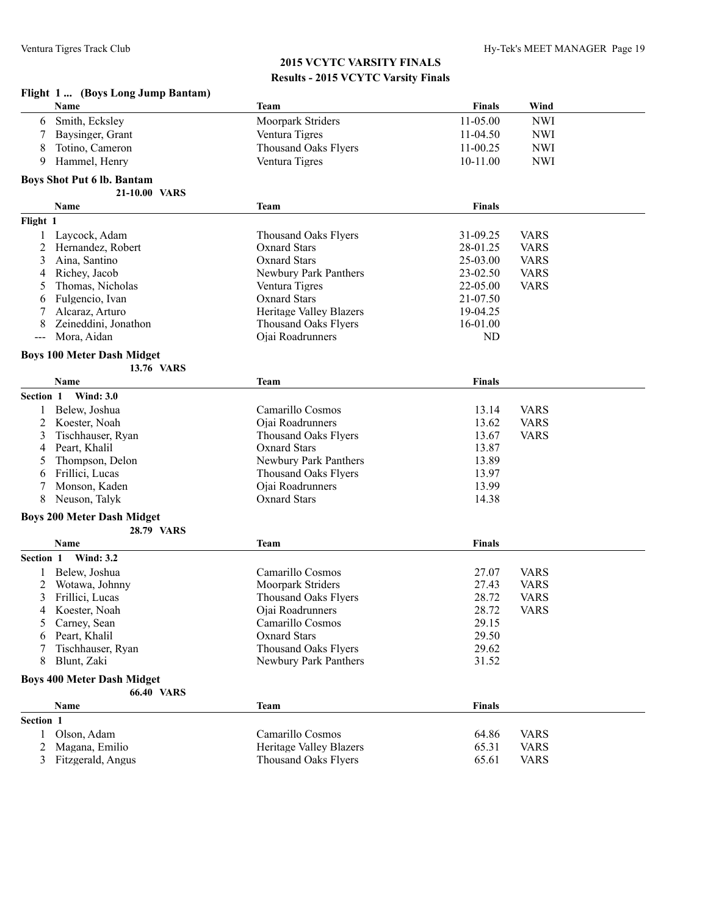| Flight 1 (Boys Long Jump Bantam) |                                   |                                |               |             |  |
|----------------------------------|-----------------------------------|--------------------------------|---------------|-------------|--|
|                                  | Name                              | <b>Team</b>                    | <b>Finals</b> | Wind        |  |
| 6                                | Smith, Ecksley                    | Moorpark Striders              | 11-05.00      | <b>NWI</b>  |  |
| 7                                | Baysinger, Grant                  | Ventura Tigres                 | 11-04.50      | <b>NWI</b>  |  |
| 8                                | Totino, Cameron                   | <b>Thousand Oaks Flyers</b>    | $11-00.25$    | <b>NWI</b>  |  |
| 9                                | Hammel, Henry                     | Ventura Tigres                 | 10-11.00      | <b>NWI</b>  |  |
|                                  |                                   |                                |               |             |  |
|                                  | <b>Boys Shot Put 6 lb. Bantam</b> |                                |               |             |  |
|                                  | 21-10.00 VARS                     |                                |               |             |  |
|                                  | Name                              | Team                           | <b>Finals</b> |             |  |
| Flight 1                         |                                   |                                |               |             |  |
| $\mathbf{1}$                     | Laycock, Adam                     | <b>Thousand Oaks Flyers</b>    | 31-09.25      | <b>VARS</b> |  |
| 2                                | Hernandez, Robert                 | <b>Oxnard Stars</b>            | 28-01.25      | <b>VARS</b> |  |
| 3                                | Aina, Santino                     | <b>Oxnard Stars</b>            | 25-03.00      | <b>VARS</b> |  |
| 4                                | Richey, Jacob                     | Newbury Park Panthers          | 23-02.50      | <b>VARS</b> |  |
| 5                                | Thomas, Nicholas                  | Ventura Tigres                 | 22-05.00      | <b>VARS</b> |  |
| 6                                | Fulgencio, Ivan                   | <b>Oxnard Stars</b>            | 21-07.50      |             |  |
| 7                                | Alcaraz, Arturo                   | <b>Heritage Valley Blazers</b> | 19-04.25      |             |  |
| 8                                | Zeineddini, Jonathon              | Thousand Oaks Flyers           | 16-01.00      |             |  |
| ---                              | Mora, Aidan                       | Ojai Roadrunners               | ND            |             |  |
|                                  | <b>Boys 100 Meter Dash Midget</b> |                                |               |             |  |
|                                  | 13.76 VARS                        |                                |               |             |  |
|                                  | Name                              | <b>Team</b>                    | <b>Finals</b> |             |  |
| Section 1                        | <b>Wind: 3.0</b>                  |                                |               |             |  |
| 1                                | Belew, Joshua                     | Camarillo Cosmos               | 13.14         | <b>VARS</b> |  |
| 2                                | Koester, Noah                     | Ojai Roadrunners               | 13.62         | <b>VARS</b> |  |
| 3                                | Tischhauser, Ryan                 | <b>Thousand Oaks Flyers</b>    | 13.67         | <b>VARS</b> |  |
| 4                                | Peart, Khalil                     | <b>Oxnard Stars</b>            | 13.87         |             |  |
| 5                                | Thompson, Delon                   | Newbury Park Panthers          | 13.89         |             |  |
| 6                                | Frillici, Lucas                   | <b>Thousand Oaks Flyers</b>    | 13.97         |             |  |
| 7                                | Monson, Kaden                     | Ojai Roadrunners               | 13.99         |             |  |
| 8                                | Neuson, Talyk                     | <b>Oxnard Stars</b>            | 14.38         |             |  |
|                                  | <b>Boys 200 Meter Dash Midget</b> |                                |               |             |  |
|                                  | 28.79 VARS                        |                                |               |             |  |
|                                  | Name                              | Team                           | <b>Finals</b> |             |  |
| Section 1                        | <b>Wind: 3.2</b>                  |                                |               |             |  |
|                                  | Belew, Joshua                     | Camarillo Cosmos               | 27.07         | <b>VARS</b> |  |
| 2                                | Wotawa, Johnny                    | Moorpark Striders              | 27.43         | <b>VARS</b> |  |
| 3                                | Frillici, Lucas                   | <b>Thousand Oaks Flyers</b>    | 28.72         | <b>VARS</b> |  |
| 4                                | Koester, Noah                     | Ojai Roadrunners               | 28.72         | <b>VARS</b> |  |
| 5                                | Carney, Sean                      | Camarillo Cosmos               | 29.15         |             |  |
| 6                                | Peart, Khalil                     | <b>Oxnard Stars</b>            | 29.50         |             |  |
|                                  | Tischhauser, Ryan                 | <b>Thousand Oaks Flyers</b>    | 29.62         |             |  |
| 8                                | Blunt, Zaki                       | Newbury Park Panthers          | 31.52         |             |  |
|                                  |                                   |                                |               |             |  |
|                                  | <b>Boys 400 Meter Dash Midget</b> |                                |               |             |  |
|                                  | <b>66.40 VARS</b>                 |                                |               |             |  |
|                                  | Name                              | <b>Team</b>                    | <b>Finals</b> |             |  |
| Section 1                        |                                   |                                |               |             |  |
| 1                                | Olson, Adam                       | Camarillo Cosmos               | 64.86         | <b>VARS</b> |  |
| 2                                | Magana, Emilio                    | Heritage Valley Blazers        | 65.31         | <b>VARS</b> |  |
| $\mathfrak{Z}$                   | Fitzgerald, Angus                 | <b>Thousand Oaks Flyers</b>    | 65.61         | <b>VARS</b> |  |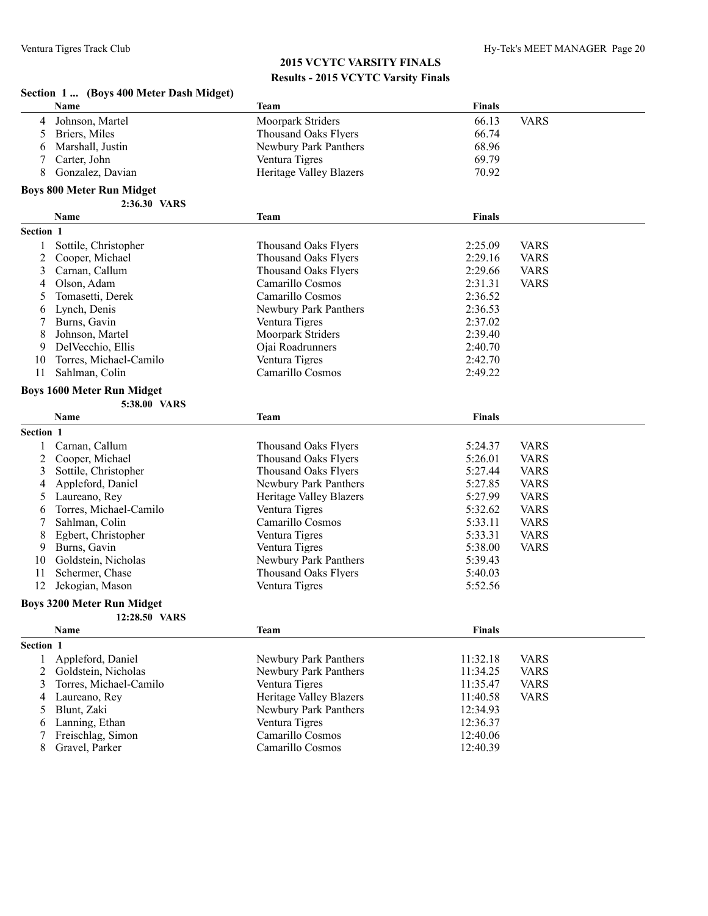# **2015 VCYTC VARSITY FINALS**

|           | <b>Results - 2015 VCYTC Varsity Finals</b> |                                |               |             |  |
|-----------|--------------------------------------------|--------------------------------|---------------|-------------|--|
|           | Section 1  (Boys 400 Meter Dash Midget)    |                                |               |             |  |
|           | <b>Name</b>                                | Team                           | <b>Finals</b> |             |  |
| 4         | Johnson, Martel                            | <b>Moorpark Striders</b>       | 66.13         | <b>VARS</b> |  |
| 5         | Briers, Miles                              | <b>Thousand Oaks Flyers</b>    | 66.74         |             |  |
| 6         | Marshall, Justin                           | Newbury Park Panthers          | 68.96         |             |  |
| 7         | Carter. John                               | Ventura Tigres                 | 69.79         |             |  |
| 8         | Gonzalez, Davian                           | <b>Heritage Valley Blazers</b> | 70.92         |             |  |
|           | <b>Boys 800 Meter Run Midget</b>           |                                |               |             |  |
|           | 2:36.30 VARS                               |                                |               |             |  |
|           | <b>Name</b>                                | <b>Team</b>                    | <b>Finals</b> |             |  |
| Section 1 |                                            |                                |               |             |  |
| 1         | Sottile, Christopher                       | <b>Thousand Oaks Flyers</b>    | 2:25.09       | <b>VARS</b> |  |
| 2         | Cooper, Michael                            | <b>Thousand Oaks Flyers</b>    | 2:29.16       | <b>VARS</b> |  |
| 3         | Carnan, Callum                             | <b>Thousand Oaks Flyers</b>    | 2:29.66       | <b>VARS</b> |  |
| 4         | Olson, Adam                                | Camarillo Cosmos               | 2:31.31       | <b>VARS</b> |  |
| 5         | Tomasetti, Derek                           | Camarillo Cosmos               | 2:36.52       |             |  |
| 6         | Lynch, Denis                               | Newbury Park Panthers          | 2:36.53       |             |  |
| 7         | Burns, Gavin                               | Ventura Tigres                 | 2:37.02       |             |  |
| 8         | Johnson, Martel                            | Moorpark Striders              | 2:39.40       |             |  |
| 9         | Del Vecchio, Ellis                         | Ojai Roadrunners               | 2:40.70       |             |  |
| 10        | Torres, Michael-Camilo                     | Ventura Tigres                 | 2:42.70       |             |  |
| 11        | Sahlman, Colin                             | Camarillo Cosmos               | 2:49.22       |             |  |
|           | <b>Boys 1600 Meter Run Midget</b>          |                                |               |             |  |
|           | 5:38.00 VARS                               |                                |               |             |  |
|           | <b>Name</b>                                | <b>Team</b>                    | <b>Finals</b> |             |  |
| Section 1 |                                            |                                |               |             |  |
| 1         | Carnan, Callum                             | <b>Thousand Oaks Flyers</b>    | 5:24.37       | <b>VARS</b> |  |
| 2         | Cooper, Michael                            | <b>Thousand Oaks Flyers</b>    | 5:26.01       | <b>VARS</b> |  |
| 3         | Sottile, Christopher                       | <b>Thousand Oaks Flyers</b>    | 5:27.44       | <b>VARS</b> |  |
| 4         | Appleford, Daniel                          | Newbury Park Panthers          | 5:27.85       | <b>VARS</b> |  |

| 4         | Appleford, Daniel                        | Newbury Park Panthers | 5:27.85       | <b>VARS</b> |
|-----------|------------------------------------------|-----------------------|---------------|-------------|
|           | Heritage Valley Blazers<br>Laureano, Rev |                       | 5:27.99       | <b>VARS</b> |
| 6         | Torres, Michael-Camilo                   | Ventura Tigres        | 5:32.62       | <b>VARS</b> |
|           | Sahlman, Colin                           | Camarillo Cosmos      | 5:33.11       | <b>VARS</b> |
| 8.        | Egbert, Christopher                      | Ventura Tigres        | 5:33.31       | <b>VARS</b> |
| 9         | Burns, Gavin                             | Ventura Tigres        | 5:38.00       | <b>VARS</b> |
| 10        | Goldstein, Nicholas                      | Newbury Park Panthers | 5:39.43       |             |
| 11        | Schermer, Chase                          | Thousand Oaks Flyers  | 5:40.03       |             |
| 12        | Jekogian, Mason                          | Ventura Tigres        | 5:52.56       |             |
|           | <b>Boys 3200 Meter Run Midget</b>        |                       |               |             |
|           | 12:28.50 VARS                            |                       |               |             |
|           | <b>Name</b>                              | <b>Team</b>           | <b>Finals</b> |             |
| Section 1 |                                          |                       |               |             |
|           | Appleford, Daniel                        | Newbury Park Panthers | 11:32.18      | <b>VARS</b> |
|           | Goldstein Nicholas                       | Newhury Park Panthers | 11.34.25      | VARS        |

| 5              | Tomasetti, Derek          | Camarillo Cosmos               | 2:36.52       |             |
|----------------|---------------------------|--------------------------------|---------------|-------------|
| 6              | Lynch, Denis              | Newbury Park Panthers          | 2:36.53       |             |
| 7              | Burns, Gavin              | Ventura Tigres                 | 2:37.02       |             |
| 8              | Johnson, Martel           | Moorpark Striders              | 2:39.40       |             |
| 9              | DelVecchio, Ellis         | Ojai Roadrunners               | 2:40.70       |             |
|                | 10 Torres, Michael-Camilo | Ventura Tigres                 | 2:42.70       |             |
| 11             | Sahlman, Colin            | Camarillo Cosmos               | 2:49.22       |             |
|                | ys 1600 Meter Run Midget  |                                |               |             |
|                | 5:38.00 VARS              |                                |               |             |
|                | <b>Name</b>               | <b>Team</b>                    | <b>Finals</b> |             |
| ction 1        |                           |                                |               |             |
|                | 1 Carnan, Callum          | <b>Thousand Oaks Flyers</b>    | 5:24.37       | <b>VARS</b> |
|                | 2 Cooper, Michael         | <b>Thousand Oaks Flyers</b>    | 5:26.01       | <b>VARS</b> |
| 3              | Sottile, Christopher      | Thousand Oaks Flyers           | 5:27.44       | <b>VARS</b> |
| 4              | Appleford, Daniel         | Newbury Park Panthers          | 5:27.85       | <b>VARS</b> |
| 5              | Laureano, Rey             | Heritage Valley Blazers        | 5:27.99       | <b>VARS</b> |
| 6              | Torres, Michael-Camilo    | Ventura Tigres                 | 5:32.62       | <b>VARS</b> |
| 7              | Sahlman, Colin            | Camarillo Cosmos               | 5:33.11       | <b>VARS</b> |
| 8              | Egbert, Christopher       | Ventura Tigres                 | 5:33.31       | <b>VARS</b> |
| 9              | Burns, Gavin              | Ventura Tigres                 | 5:38.00       | <b>VARS</b> |
| 10             | Goldstein, Nicholas       | Newbury Park Panthers          | 5:39.43       |             |
| 11             | Schermer, Chase           | <b>Thousand Oaks Flyers</b>    | 5:40.03       |             |
|                | 12 Jekogian, Mason        | Ventura Tigres                 | 5:52.56       |             |
|                | ys 3200 Meter Run Midget  |                                |               |             |
|                | 12:28.50 VARS             |                                |               |             |
|                | Name                      | <b>Team</b>                    | <b>Finals</b> |             |
| ction 1        |                           |                                |               |             |
| 1              | Appleford, Daniel         | Newbury Park Panthers          | 11:32.18      | <b>VARS</b> |
|                | 2 Goldstein, Nicholas     | Newbury Park Panthers          | 11:34.25      | <b>VARS</b> |
| 3              | Torres, Michael-Camilo    | Ventura Tigres                 | 11:35.47      | <b>VARS</b> |
| $\overline{4}$ | Laureano, Rey             | <b>Heritage Valley Blazers</b> | 11:40.58      | <b>VARS</b> |
| 5              | Blunt, Zaki               | Newbury Park Panthers          | 12:34.93      |             |
| 6              | Lanning, Ethan            | Ventura Tigres                 | 12:36.37      |             |
| 7              | Freischlag, Simon         | Camarillo Cosmos               | 12:40.06      |             |
| 8              | Gravel, Parker            | Camarillo Cosmos               | 12:40.39      |             |
|                |                           |                                |               |             |
|                |                           |                                |               |             |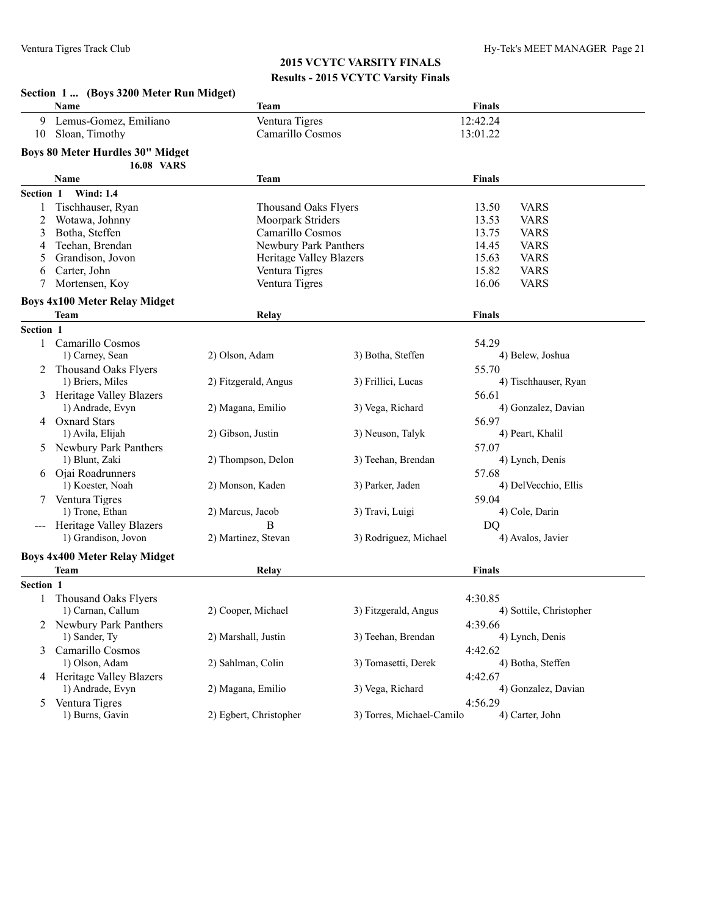|           | Section 1  (Boys 3200 Meter Run Midget)       |                             |                           |                                |
|-----------|-----------------------------------------------|-----------------------------|---------------------------|--------------------------------|
|           | Name                                          | Team                        |                           | <b>Finals</b>                  |
| 9         | Lemus-Gomez, Emiliano                         | Ventura Tigres              |                           | 12:42.24                       |
| 10        | Sloan, Timothy                                | Camarillo Cosmos            |                           | 13:01.22                       |
|           | <b>Boys 80 Meter Hurdles 30" Midget</b>       |                             |                           |                                |
|           | <b>16.08 VARS</b>                             |                             |                           |                                |
|           | Name                                          | Team                        |                           | <b>Finals</b>                  |
| Section 1 | <b>Wind: 1.4</b>                              |                             |                           |                                |
| 1         | Tischhauser, Ryan                             | <b>Thousand Oaks Flyers</b> |                           | 13.50<br><b>VARS</b>           |
| 2         | Wotawa, Johnny                                | Moorpark Striders           |                           | 13.53<br><b>VARS</b>           |
| 3         | Botha, Steffen                                | Camarillo Cosmos            |                           | 13.75<br><b>VARS</b>           |
| 4         | Teehan, Brendan                               | Newbury Park Panthers       |                           | 14.45<br><b>VARS</b>           |
| 5         | Grandison, Jovon                              | Heritage Valley Blazers     |                           | 15.63<br><b>VARS</b>           |
| 6         | Carter, John                                  | Ventura Tigres              |                           | 15.82<br><b>VARS</b>           |
| 7         | Mortensen, Koy                                | Ventura Tigres              |                           | 16.06<br><b>VARS</b>           |
|           | <b>Boys 4x100 Meter Relay Midget</b>          |                             |                           |                                |
|           | Team                                          | Relay                       |                           | <b>Finals</b>                  |
| Section 1 |                                               |                             |                           |                                |
| 1         | Camarillo Cosmos                              |                             |                           | 54.29                          |
|           | 1) Carney, Sean                               | 2) Olson, Adam              | 3) Botha, Steffen         | 4) Belew, Joshua               |
|           | 2 Thousand Oaks Flyers                        |                             |                           | 55.70                          |
|           | 1) Briers, Miles                              | 2) Fitzgerald, Angus        | 3) Frillici, Lucas        | 4) Tischhauser, Ryan           |
|           | <b>Heritage Valley Blazers</b>                |                             |                           | 56.61                          |
|           | 1) Andrade, Evyn                              | 2) Magana, Emilio           | 3) Vega, Richard          | 4) Gonzalez, Davian            |
|           | 4 Oxnard Stars                                |                             |                           | 56.97                          |
|           | 1) Avila, Elijah                              | 2) Gibson, Justin           | 3) Neuson, Talyk          | 4) Peart, Khalil               |
|           | 5 Newbury Park Panthers                       |                             |                           | 57.07                          |
|           | 1) Blunt, Zaki                                | 2) Thompson, Delon          | 3) Teehan, Brendan        | 4) Lynch, Denis                |
|           | 6 Ojai Roadrunners<br>1) Koester, Noah        | 2) Monson, Kaden            | 3) Parker, Jaden          | 57.68<br>4) DelVecchio, Ellis  |
|           |                                               |                             |                           | 59.04                          |
|           | Ventura Tigres<br>1) Trone, Ethan             | 2) Marcus, Jacob            | 3) Travi, Luigi           | 4) Cole, Darin                 |
|           | --- Heritage Valley Blazers                   | B                           |                           | D <sub>O</sub>                 |
|           | 1) Grandison, Jovon                           | 2) Martinez, Stevan         | 3) Rodriguez, Michael     | 4) Avalos, Javier              |
|           |                                               |                             |                           |                                |
|           | <b>Boys 4x400 Meter Relay Midget</b>          |                             |                           |                                |
|           | <b>Team</b>                                   | Relay                       |                           | <b>Finals</b>                  |
| Section 1 |                                               |                             |                           |                                |
|           | Thousand Oaks Flyers                          |                             |                           | 4:30.85                        |
|           | 1) Carnan, Callum                             | 2) Cooper, Michael          | 3) Fitzgerald, Angus      | 4) Sottile, Christopher        |
|           | 2 Newbury Park Panthers                       |                             |                           | 4:39.66                        |
|           | 1) Sander, Ty                                 | 2) Marshall, Justin         | 3) Teehan, Brendan        | 4) Lynch, Denis                |
| 3         | Camarillo Cosmos<br>1) Olson, Adam            | 2) Sahlman, Colin           |                           | 4:42.62<br>4) Botha, Steffen   |
|           |                                               |                             | 3) Tomasetti, Derek       |                                |
|           | 4 Heritage Valley Blazers<br>1) Andrade, Evyn | 2) Magana, Emilio           | 3) Vega, Richard          | 4:42.67<br>4) Gonzalez, Davian |
|           | Ventura Tigres                                |                             |                           |                                |
| 5         | 1) Burns, Gavin                               | 2) Egbert, Christopher      | 3) Torres, Michael-Camilo | 4:56.29<br>4) Carter, John     |
|           |                                               |                             |                           |                                |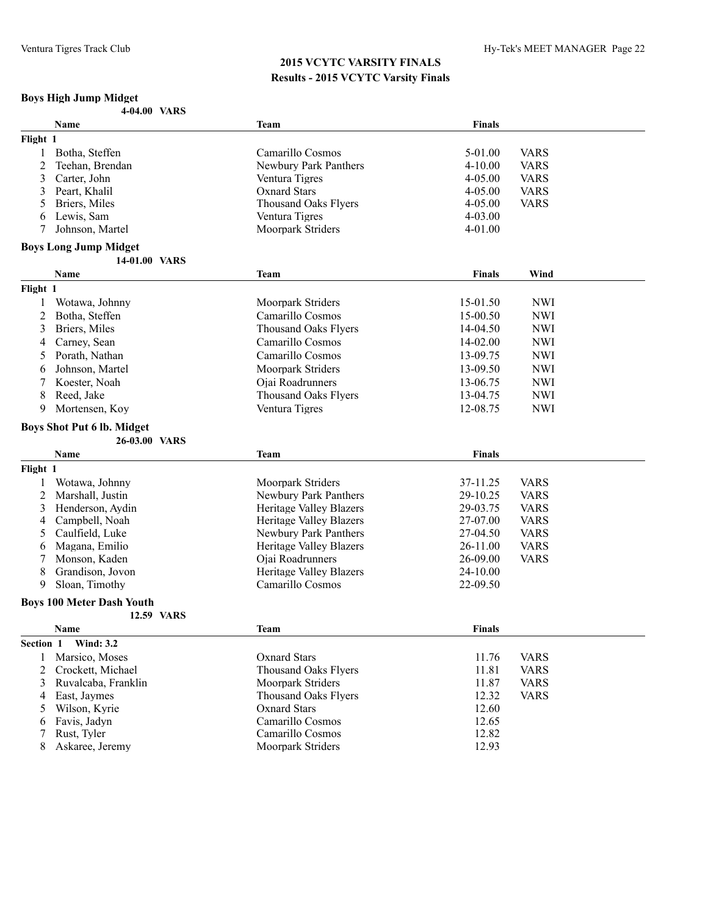# **Boys High Jump Midget**

|           | Name                              | <b>Team</b>                           | Finals         |             |
|-----------|-----------------------------------|---------------------------------------|----------------|-------------|
| Flight 1  |                                   |                                       |                |             |
| 1         | Botha, Steffen                    | Camarillo Cosmos                      | 5-01.00        | <b>VARS</b> |
| 2         | Teehan, Brendan                   | Newbury Park Panthers                 | $4 - 10.00$    | <b>VARS</b> |
| 3         | Carter, John                      | Ventura Tigres                        | 4-05.00        | <b>VARS</b> |
| 3         | Peart, Khalil                     | <b>Oxnard Stars</b>                   | 4-05.00        | <b>VARS</b> |
| 5         | Briers, Miles                     | <b>Thousand Oaks Flyers</b>           | 4-05.00        | <b>VARS</b> |
| 6         | Lewis, Sam                        | Ventura Tigres                        | 4-03.00        |             |
| 7         | Johnson, Martel                   | Moorpark Striders                     | 4-01.00        |             |
|           |                                   |                                       |                |             |
|           | <b>Boys Long Jump Midget</b>      |                                       |                |             |
|           | 14-01.00 VARS<br>Name             |                                       | <b>Finals</b>  | Wind        |
|           |                                   | <b>Team</b>                           |                |             |
| Flight 1  |                                   |                                       |                |             |
| 1         | Wotawa, Johnny                    | Moorpark Striders                     | 15-01.50       | <b>NWI</b>  |
| 2         | Botha, Steffen                    | Camarillo Cosmos                      | 15-00.50       | <b>NWI</b>  |
| 3         | Briers, Miles                     | <b>Thousand Oaks Flyers</b>           | 14-04.50       | <b>NWI</b>  |
| 4         | Carney, Sean                      | Camarillo Cosmos                      | 14-02.00       | <b>NWI</b>  |
| 5         | Porath, Nathan                    | Camarillo Cosmos                      | 13-09.75       | <b>NWI</b>  |
| 6         | Johnson, Martel                   | Moorpark Striders                     | 13-09.50       | <b>NWI</b>  |
| 7         | Koester, Noah                     | Ojai Roadrunners                      | 13-06.75       | <b>NWI</b>  |
| 8         | Reed, Jake                        | <b>Thousand Oaks Flyers</b>           | 13-04.75       | <b>NWI</b>  |
| 9         | Mortensen, Koy                    | Ventura Tigres                        | 12-08.75       | <b>NWI</b>  |
|           | <b>Boys Shot Put 6 lb. Midget</b> |                                       |                |             |
|           | 26-03.00 VARS                     |                                       |                |             |
|           | Name                              | <b>Team</b>                           | Finals         |             |
|           |                                   |                                       |                |             |
| Flight 1  |                                   |                                       |                |             |
| 1         | Wotawa, Johnny                    | Moorpark Striders                     | 37-11.25       | <b>VARS</b> |
| 2         | Marshall, Justin                  | Newbury Park Panthers                 | 29-10.25       | <b>VARS</b> |
| 3         | Henderson, Aydin                  | <b>Heritage Valley Blazers</b>        | 29-03.75       | <b>VARS</b> |
| 4         | Campbell, Noah                    | Heritage Valley Blazers               | 27-07.00       | <b>VARS</b> |
| 5         | Caulfield, Luke                   | Newbury Park Panthers                 | 27-04.50       | <b>VARS</b> |
| 6         | Magana, Emilio                    | <b>Heritage Valley Blazers</b>        | 26-11.00       | <b>VARS</b> |
| 7         | Monson, Kaden                     | Ojai Roadrunners                      | 26-09.00       | <b>VARS</b> |
| 8         | Grandison, Jovon                  | <b>Heritage Valley Blazers</b>        | 24-10.00       |             |
| 9         | Sloan, Timothy                    | Camarillo Cosmos                      | 22-09.50       |             |
|           | <b>Boys 100 Meter Dash Youth</b>  |                                       |                |             |
|           | 12.59 VARS                        |                                       |                |             |
|           | <b>Name</b>                       | Team                                  | <b>Finals</b>  |             |
| Section 1 | <b>Wind: 3.2</b>                  |                                       |                |             |
| 1         | Marsico, Moses                    | <b>Oxnard Stars</b>                   | 11.76          | <b>VARS</b> |
| 2         | Crockett, Michael                 | <b>Thousand Oaks Flyers</b>           | 11.81          | <b>VARS</b> |
| 3         | Ruvalcaba, Franklin               | Moorpark Striders                     | 11.87          | <b>VARS</b> |
| 4         | East, Jaymes                      | <b>Thousand Oaks Flyers</b>           | 12.32          | <b>VARS</b> |
| 5         | Wilson, Kyrie                     | <b>Oxnard Stars</b>                   | 12.60          |             |
| 6         |                                   |                                       |                |             |
|           |                                   |                                       |                |             |
|           | Favis, Jadyn                      | Camarillo Cosmos                      | 12.65          |             |
| 7<br>8    | Rust, Tyler<br>Askaree, Jeremy    | Camarillo Cosmos<br>Moorpark Striders | 12.82<br>12.93 |             |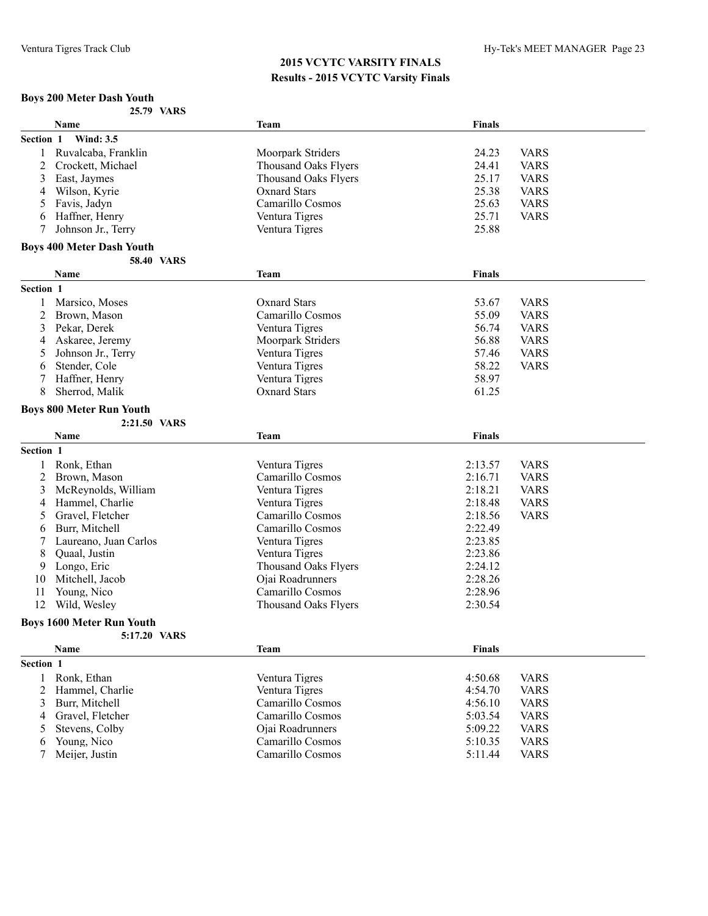#### **Boys 200 Meter Dash Youth 25.79 VARS**

|              | Name                             | <b>Team</b>                 | Finals        |             |
|--------------|----------------------------------|-----------------------------|---------------|-------------|
| Section 1    | <b>Wind: 3.5</b>                 |                             |               |             |
| 1            | Ruvalcaba, Franklin              | Moorpark Striders           | 24.23         | <b>VARS</b> |
| 2            | Crockett, Michael                | <b>Thousand Oaks Flyers</b> | 24.41         | <b>VARS</b> |
| 3            | East, Jaymes                     | <b>Thousand Oaks Flyers</b> | 25.17         | <b>VARS</b> |
| 4            | Wilson, Kyrie                    | <b>Oxnard Stars</b>         | 25.38         | <b>VARS</b> |
| 5            | Favis, Jadyn                     | Camarillo Cosmos            | 25.63         | <b>VARS</b> |
| 6            | Haffner, Henry                   | Ventura Tigres              | 25.71         | <b>VARS</b> |
| 7            | Johnson Jr., Terry               | Ventura Tigres              | 25.88         |             |
|              |                                  |                             |               |             |
|              | <b>Boys 400 Meter Dash Youth</b> |                             |               |             |
|              | <b>58.40 VARS</b>                |                             |               |             |
|              | Name                             | Team                        | <b>Finals</b> |             |
| Section 1    |                                  |                             |               |             |
|              | Marsico, Moses                   | <b>Oxnard Stars</b>         | 53.67         | <b>VARS</b> |
| 2            | Brown, Mason                     | Camarillo Cosmos            | 55.09         | <b>VARS</b> |
| 3            | Pekar, Derek                     | Ventura Tigres              | 56.74         | <b>VARS</b> |
|              |                                  |                             | 56.88         |             |
| 4            | Askaree, Jeremy                  | Moorpark Striders           |               | <b>VARS</b> |
| 5            | Johnson Jr., Terry               | Ventura Tigres              | 57.46         | <b>VARS</b> |
| 6            | Stender, Cole                    | Ventura Tigres              | 58.22         | <b>VARS</b> |
|              | Haffner, Henry                   | Ventura Tigres              | 58.97         |             |
| 8            | Sherrod, Malik                   | <b>Oxnard Stars</b>         | 61.25         |             |
|              | <b>Boys 800 Meter Run Youth</b>  |                             |               |             |
|              | 2:21.50 VARS                     |                             |               |             |
|              | Name                             | <b>Team</b>                 | <b>Finals</b> |             |
| Section 1    |                                  |                             |               |             |
|              |                                  |                             |               |             |
| 1            | Ronk, Ethan                      | Ventura Tigres              | 2:13.57       | <b>VARS</b> |
| 2            | Brown, Mason                     | Camarillo Cosmos            | 2:16.71       | <b>VARS</b> |
| 3            | McReynolds, William              | Ventura Tigres              | 2:18.21       | <b>VARS</b> |
| 4            | Hammel, Charlie                  | Ventura Tigres              | 2:18.48       | <b>VARS</b> |
| 5            | Gravel, Fletcher                 | Camarillo Cosmos            | 2:18.56       | <b>VARS</b> |
| 6            | Burr, Mitchell                   | Camarillo Cosmos            | 2:22.49       |             |
| 7            | Laureano, Juan Carlos            | Ventura Tigres              | 2:23.85       |             |
| 8            | Quaal, Justin                    | Ventura Tigres              | 2:23.86       |             |
| 9            | Longo, Eric                      | <b>Thousand Oaks Flyers</b> | 2:24.12       |             |
| 10           | Mitchell, Jacob                  | Ojai Roadrunners            | 2:28.26       |             |
| 11           | Young, Nico                      | Camarillo Cosmos            | 2:28.96       |             |
|              |                                  |                             |               |             |
| 12           | Wild, Wesley                     | <b>Thousand Oaks Flyers</b> | 2:30.54       |             |
|              | <b>Boys 1600 Meter Run Youth</b> |                             |               |             |
|              | 5:17.20 VARS                     |                             |               |             |
|              | <b>Name</b>                      | <b>Team</b>                 | <b>Finals</b> |             |
| Section 1    |                                  |                             |               |             |
| $\mathbf{1}$ | Ronk, Ethan                      | Ventura Tigres              | 4:50.68       | <b>VARS</b> |
| 2            | Hammel, Charlie                  | Ventura Tigres              | 4:54.70       | <b>VARS</b> |
| 3            | Burr, Mitchell                   | Camarillo Cosmos            | 4:56.10       | <b>VARS</b> |
| 4            | Gravel, Fletcher                 | Camarillo Cosmos            | 5:03.54       | <b>VARS</b> |
|              |                                  |                             |               |             |
| 5            | Stevens, Colby                   | Ojai Roadrunners            | 5:09.22       | <b>VARS</b> |
| 6            | Young, Nico                      | Camarillo Cosmos            | 5:10.35       | <b>VARS</b> |
| 7            | Meijer, Justin                   | Camarillo Cosmos            | 5:11.44       | <b>VARS</b> |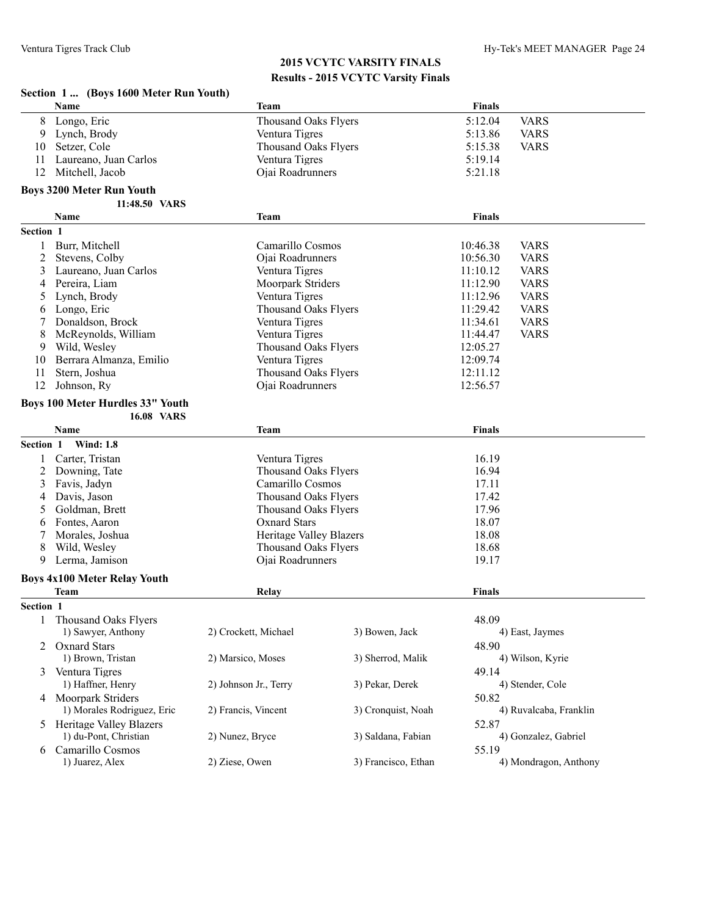|           | Section 1  (Boys 1600 Meter Run Youth)  |                             |                     |               |                        |
|-----------|-----------------------------------------|-----------------------------|---------------------|---------------|------------------------|
|           | Name                                    | <b>Team</b>                 |                     | <b>Finals</b> |                        |
| 8         | Longo, Eric                             | <b>Thousand Oaks Flyers</b> |                     | 5:12.04       | <b>VARS</b>            |
| 9         | Lynch, Brody                            | Ventura Tigres              |                     | 5:13.86       | <b>VARS</b>            |
| 10        | Setzer, Cole                            | <b>Thousand Oaks Flyers</b> |                     | 5:15.38       | <b>VARS</b>            |
| 11        | Laureano, Juan Carlos                   | Ventura Tigres              |                     | 5:19.14       |                        |
| 12        | Mitchell, Jacob                         | Ojai Roadrunners            |                     | 5:21.18       |                        |
|           | <b>Boys 3200 Meter Run Youth</b>        |                             |                     |               |                        |
|           | 11:48.50 VARS                           |                             |                     |               |                        |
|           | Name                                    | <b>Team</b>                 |                     | <b>Finals</b> |                        |
| Section 1 |                                         |                             |                     |               |                        |
| 1         | Burr, Mitchell                          | Camarillo Cosmos            |                     | 10:46.38      | <b>VARS</b>            |
| 2         | Stevens, Colby                          | Ojai Roadrunners            |                     | 10:56.30      | <b>VARS</b>            |
| 3         | Laureano, Juan Carlos                   | Ventura Tigres              |                     | 11:10.12      | <b>VARS</b>            |
| 4         | Pereira, Liam                           | Moorpark Striders           |                     | 11:12.90      | <b>VARS</b>            |
| 5         | Lynch, Brody                            | Ventura Tigres              |                     | 11:12.96      | <b>VARS</b>            |
| 6         | Longo, Eric                             | Thousand Oaks Flyers        |                     | 11:29.42      | <b>VARS</b>            |
| 7         | Donaldson, Brock                        | Ventura Tigres              |                     | 11:34.61      | <b>VARS</b>            |
| 8         | McReynolds, William                     | Ventura Tigres              |                     | 11:44.47      | <b>VARS</b>            |
| 9         | Wild, Wesley                            | <b>Thousand Oaks Flyers</b> |                     | 12:05.27      |                        |
| 10        | Berrara Almanza, Emilio                 | Ventura Tigres              |                     | 12:09.74      |                        |
| 11        | Stern, Joshua                           | <b>Thousand Oaks Flyers</b> |                     | 12:11.12      |                        |
| 12        | Johnson, Ry                             | Ojai Roadrunners            |                     | 12:56.57      |                        |
|           | <b>Boys 100 Meter Hurdles 33" Youth</b> |                             |                     |               |                        |
|           | <b>16.08 VARS</b>                       |                             |                     |               |                        |
|           | Name                                    | <b>Team</b>                 |                     | <b>Finals</b> |                        |
| Section 1 | <b>Wind: 1.8</b>                        |                             |                     |               |                        |
| 1         | Carter, Tristan                         | Ventura Tigres              |                     | 16.19         |                        |
| 2         | Downing, Tate                           | <b>Thousand Oaks Flyers</b> |                     | 16.94         |                        |
| 3         | Favis, Jadyn                            | Camarillo Cosmos            |                     | 17.11         |                        |
| 4         | Davis, Jason                            | Thousand Oaks Flyers        |                     | 17.42         |                        |
| 5         | Goldman, Brett                          | <b>Thousand Oaks Flyers</b> |                     | 17.96         |                        |
| 6         | Fontes, Aaron                           | <b>Oxnard Stars</b>         |                     | 18.07         |                        |
|           | Morales, Joshua                         | Heritage Valley Blazers     |                     | 18.08         |                        |
| 8         | Wild, Wesley                            | Thousand Oaks Flyers        |                     | 18.68         |                        |
| 9         | Lerma, Jamison                          | Ojai Roadrunners            |                     | 19.17         |                        |
|           | <b>Boys 4x100 Meter Relay Youth</b>     |                             |                     |               |                        |
|           | <b>Team</b>                             | Relay                       |                     | <b>Finals</b> |                        |
| Section 1 |                                         |                             |                     |               |                        |
| 1         | <b>Thousand Oaks Flyers</b>             |                             |                     | 48.09         |                        |
|           | 1) Sawyer, Anthony                      | 2) Crockett, Michael        | 3) Bowen, Jack      |               | 4) East, Jaymes        |
|           | 2 Oxnard Stars                          |                             |                     | 48.90         |                        |
|           | 1) Brown, Tristan                       | 2) Marsico, Moses           | 3) Sherrod, Malik   |               | 4) Wilson, Kyrie       |
| 3         | Ventura Tigres                          |                             |                     | 49.14         |                        |
|           | 1) Haffner, Henry                       | 2) Johnson Jr., Terry       | 3) Pekar, Derek     |               | 4) Stender, Cole       |
|           | 4 Moorpark Striders                     |                             |                     | 50.82         |                        |
|           | 1) Morales Rodriguez, Eric              | 2) Francis, Vincent         | 3) Cronquist, Noah  |               | 4) Ruvalcaba, Franklin |
|           | 5 Heritage Valley Blazers               |                             |                     | 52.87         |                        |
|           | 1) du-Pont, Christian                   | 2) Nunez, Bryce             | 3) Saldana, Fabian  |               | 4) Gonzalez, Gabriel   |
| 6         | Camarillo Cosmos                        |                             |                     | 55.19         |                        |
|           | 1) Juarez, Alex                         | 2) Ziese, Owen              | 3) Francisco, Ethan |               | 4) Mondragon, Anthony  |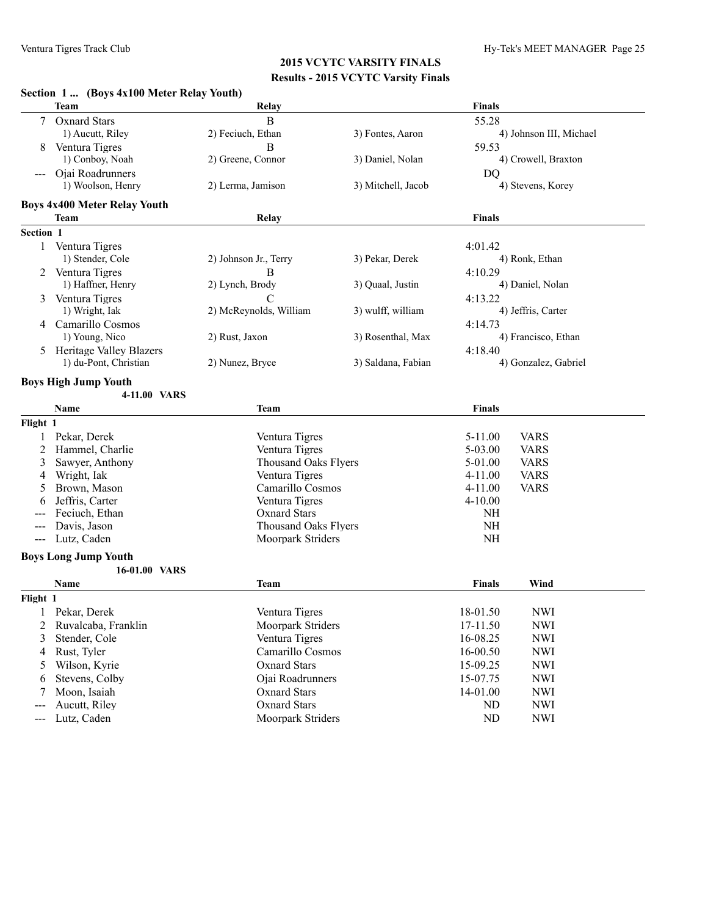|                                          | Section 1  (Boys 4x100 Meter Relay Youth) |                             |                    |               |                         |
|------------------------------------------|-------------------------------------------|-----------------------------|--------------------|---------------|-------------------------|
|                                          | <b>Team</b>                               | Relay                       |                    | <b>Finals</b> |                         |
| 7                                        | <b>Oxnard Stars</b>                       | B                           |                    | 55.28         |                         |
|                                          | 1) Aucutt, Riley                          | 2) Feciuch, Ethan           | 3) Fontes, Aaron   |               | 4) Johnson III, Michael |
|                                          | Ventura Tigres                            | B                           |                    | 59.53         |                         |
|                                          | 1) Conboy, Noah                           | 2) Greene, Connor           | 3) Daniel, Nolan   |               | 4) Crowell, Braxton     |
|                                          | Ojai Roadrunners                          |                             |                    | DQ            |                         |
|                                          | 1) Woolson, Henry                         | 2) Lerma, Jamison           | 3) Mitchell, Jacob |               | 4) Stevens, Korey       |
|                                          | <b>Boys 4x400 Meter Relay Youth</b>       |                             |                    |               |                         |
|                                          | Team                                      | Relay                       |                    | Finals        |                         |
| Section 1                                |                                           |                             |                    |               |                         |
|                                          | 1 Ventura Tigres                          |                             |                    | 4:01.42       |                         |
|                                          | 1) Stender, Cole                          | 2) Johnson Jr., Terry       | 3) Pekar, Derek    |               | 4) Ronk, Ethan          |
|                                          | 2 Ventura Tigres                          | B                           |                    | 4:10.29       |                         |
|                                          | 1) Haffner, Henry                         | 2) Lynch, Brody             | 3) Quaal, Justin   |               | 4) Daniel, Nolan        |
|                                          | Ventura Tigres                            | C                           |                    | 4:13.22       |                         |
|                                          | 1) Wright, Iak                            | 2) McReynolds, William      | 3) wulff, william  |               | 4) Jeffris, Carter      |
|                                          | 4 Camarillo Cosmos                        |                             |                    | 4:14.73       |                         |
|                                          | 1) Young, Nico                            | 2) Rust, Jaxon              | 3) Rosenthal, Max  |               | 4) Francisco, Ethan     |
|                                          | 5 Heritage Valley Blazers                 |                             |                    | 4:18.40       |                         |
|                                          | 1) du-Pont, Christian                     | 2) Nunez, Bryce             | 3) Saldana, Fabian |               | 4) Gonzalez, Gabriel    |
|                                          |                                           |                             |                    |               |                         |
|                                          | <b>Boys High Jump Youth</b>               |                             |                    |               |                         |
|                                          | 4-11.00 VARS                              |                             |                    |               |                         |
|                                          | Name                                      | Team                        |                    | <b>Finals</b> |                         |
| Flight 1                                 |                                           |                             |                    |               |                         |
| 1                                        | Pekar, Derek                              | Ventura Tigres              |                    | $5 - 11.00$   | <b>VARS</b>             |
| 2                                        | Hammel, Charlie                           | Ventura Tigres              |                    | 5-03.00       | <b>VARS</b>             |
| 3                                        | Sawyer, Anthony                           | <b>Thousand Oaks Flyers</b> |                    | 5-01.00       | <b>VARS</b>             |
| 4                                        | Wright, Iak                               | Ventura Tigres              |                    | $4 - 11.00$   | <b>VARS</b>             |
| 5                                        | Brown, Mason                              | Camarillo Cosmos            |                    | $4 - 11.00$   | <b>VARS</b>             |
| 6                                        | Jeffris, Carter                           | Ventura Tigres              |                    | $4 - 10.00$   |                         |
|                                          | Feciuch, Ethan                            | <b>Oxnard Stars</b>         |                    | NH            |                         |
|                                          | Davis, Jason                              | <b>Thousand Oaks Flyers</b> |                    | <b>NH</b>     |                         |
| $\hspace{0.05cm} \ldots \hspace{0.05cm}$ | Lutz, Caden                               | Moorpark Striders           |                    | <b>NH</b>     |                         |
|                                          | <b>Boys Long Jump Youth</b>               |                             |                    |               |                         |
|                                          | 16-01.00 VARS                             |                             |                    |               |                         |
|                                          | Name                                      | Team                        |                    | <b>Finals</b> | Wind                    |
| Flight 1                                 |                                           |                             |                    |               |                         |
|                                          | Pekar, Derek                              | Ventura Tigres              |                    | 18-01.50      | <b>NWI</b>              |
| 2                                        | Ruvalcaba, Franklin                       | Moorpark Striders           |                    | 17-11.50      | <b>NWI</b>              |
| 3                                        | Stender, Cole                             | Ventura Tigres              |                    | 16-08.25      | <b>NWI</b>              |
| 4                                        | Rust, Tyler                               | Camarillo Cosmos            |                    | 16-00.50      | <b>NWI</b>              |
| 5                                        | Wilson, Kyrie                             | <b>Oxnard Stars</b>         |                    | 15-09.25      | <b>NWI</b>              |
| 6                                        | Stevens, Colby                            | Ojai Roadrunners            |                    | 15-07.75      | <b>NWI</b>              |
| 7                                        | Moon, Isaiah                              | <b>Oxnard Stars</b>         |                    | 14-01.00      | <b>NWI</b>              |
| $---$                                    | Aucutt, Riley                             | <b>Oxnard Stars</b>         |                    | ND            | <b>NWI</b>              |
| $\qquad \qquad - \qquad -$               | Lutz, Caden                               | Moorpark Striders           |                    | ND            | <b>NWI</b>              |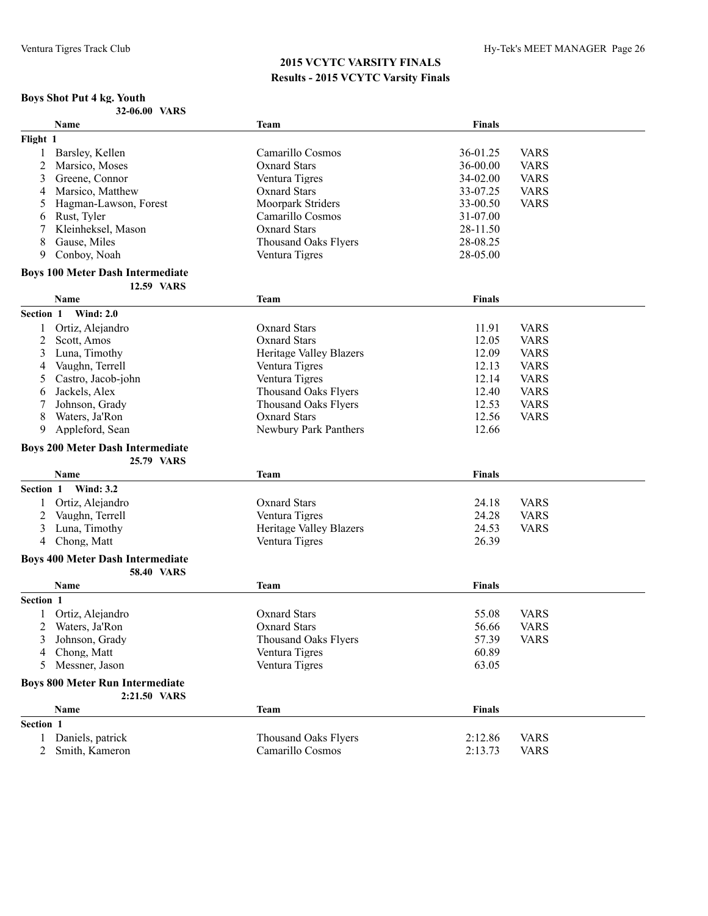# **Boys Shot Put 4 kg. Youth**

| 32-06.00 VARS |
|---------------|
|---------------|

|           | Name                                    | Team                           | <b>Finals</b>  |             |
|-----------|-----------------------------------------|--------------------------------|----------------|-------------|
| Flight 1  |                                         |                                |                |             |
| 1         | Barsley, Kellen                         | Camarillo Cosmos               | 36-01.25       | <b>VARS</b> |
| 2         | Marsico, Moses                          | <b>Oxnard Stars</b>            | 36-00.00       | <b>VARS</b> |
| 3         | Greene, Connor                          | Ventura Tigres                 | 34-02.00       | <b>VARS</b> |
| 4         | Marsico, Matthew                        | <b>Oxnard Stars</b>            | 33-07.25       | <b>VARS</b> |
| 5         | Hagman-Lawson, Forest                   | Moorpark Striders              | 33-00.50       | <b>VARS</b> |
| 6         | Rust, Tyler                             | Camarillo Cosmos               | 31-07.00       |             |
| 7         | Kleinheksel, Mason                      | <b>Oxnard Stars</b>            | 28-11.50       |             |
| 8         | Gause, Miles                            | <b>Thousand Oaks Flyers</b>    | 28-08.25       |             |
| 9         | Conboy, Noah                            | Ventura Tigres                 | 28-05.00       |             |
|           | <b>Boys 100 Meter Dash Intermediate</b> |                                |                |             |
|           | 12.59 VARS                              |                                |                |             |
|           | <b>Name</b>                             | Team                           | <b>Finals</b>  |             |
| Section 1 | <b>Wind: 2.0</b>                        |                                |                |             |
|           | Ortiz, Alejandro                        | <b>Oxnard Stars</b>            | 11.91          | <b>VARS</b> |
| 2         | Scott, Amos                             | <b>Oxnard Stars</b>            | 12.05          | <b>VARS</b> |
| 3         | Luna, Timothy                           | <b>Heritage Valley Blazers</b> | 12.09          | <b>VARS</b> |
| 4         | Vaughn, Terrell                         | Ventura Tigres                 | 12.13          | <b>VARS</b> |
| 5         | Castro, Jacob-john                      | Ventura Tigres                 | 12.14          | <b>VARS</b> |
| 6         | Jackels, Alex                           | <b>Thousand Oaks Flyers</b>    | 12.40          | <b>VARS</b> |
|           | Johnson, Grady                          | <b>Thousand Oaks Flyers</b>    | 12.53          | <b>VARS</b> |
| 8         | Waters, Ja'Ron                          | <b>Oxnard Stars</b>            | 12.56          | <b>VARS</b> |
| 9         | Appleford, Sean                         | Newbury Park Panthers          | 12.66          |             |
|           | <b>Boys 200 Meter Dash Intermediate</b> |                                |                |             |
|           | 25.79 VARS                              |                                |                |             |
|           | <b>Name</b>                             | Team                           | <b>Finals</b>  |             |
| Section 1 | <b>Wind: 3.2</b>                        |                                |                |             |
|           | Ortiz, Alejandro                        |                                |                |             |
|           |                                         | <b>Oxnard Stars</b>            | 24.18<br>24.28 | <b>VARS</b> |
| 2         | Vaughn, Terrell                         | Ventura Tigres                 |                | <b>VARS</b> |
| 3         | Luna, Timothy                           | <b>Heritage Valley Blazers</b> | 24.53          | <b>VARS</b> |
| 4         | Chong, Matt                             | Ventura Tigres                 | 26.39          |             |
|           | <b>Boys 400 Meter Dash Intermediate</b> |                                |                |             |
|           | <b>58.40 VARS</b><br>Name               | Team                           | <b>Finals</b>  |             |
| Section 1 |                                         |                                |                |             |
|           | Ortiz, Alejandro                        | <b>Oxnard Stars</b>            | 55.08          | <b>VARS</b> |
|           |                                         | <b>Oxnard Stars</b>            |                | <b>VARS</b> |
|           | Waters, Ja'Ron                          |                                | 56.66          |             |
|           | 3 Johnson, Grady                        | Thousand Oaks Flyers           | 57.39          | <b>VARS</b> |
| 4         | Chong, Matt                             | Ventura Tigres                 | 60.89          |             |
| 5.        | Messner, Jason                          | Ventura Tigres                 | 63.05          |             |
|           | <b>Boys 800 Meter Run Intermediate</b>  |                                |                |             |
|           | 2:21.50 VARS                            |                                |                |             |
|           | Name                                    | <b>Team</b>                    | <b>Finals</b>  |             |
| Section 1 |                                         |                                |                |             |
|           | 1 Daniels, patrick                      | <b>Thousand Oaks Flyers</b>    | 2:12.86        | <b>VARS</b> |
|           | 2 Smith, Kameron                        | Camarillo Cosmos               | 2:13.73        | <b>VARS</b> |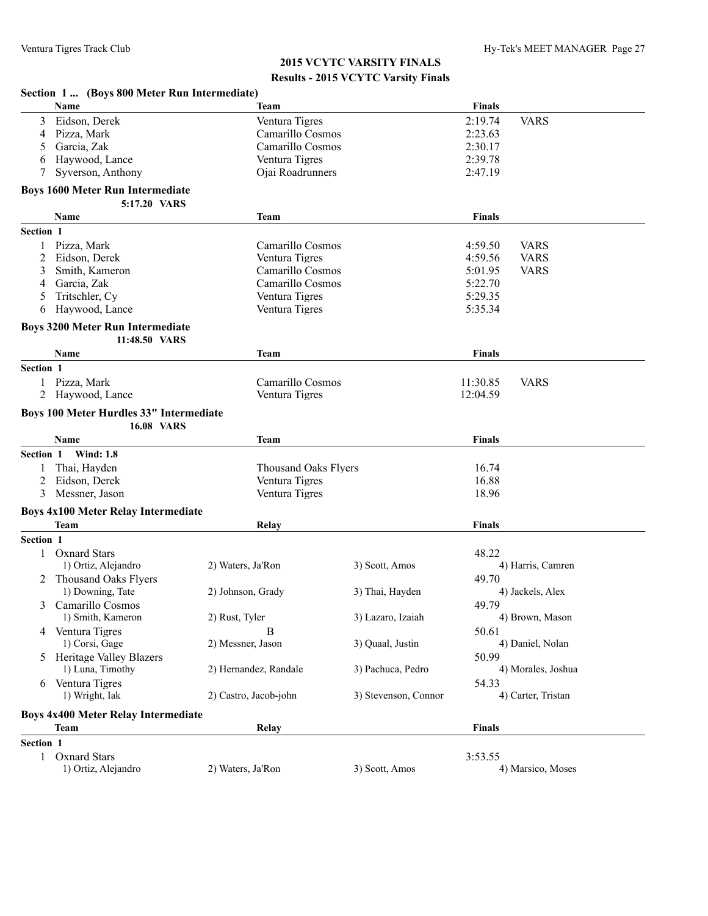#### **Section 1 ... (Boys 800 Meter Run Intermediate) Name Finals Finals Finals Finals Finals Finals Finals** 3 Eidson, Derek Ventura Tigres 2:19.74 VARS 4 Pizza, Mark Camarillo Cosmos 2:23.63 5 Garcia, Zak Camarillo Cosmos 2:30.17 6 Haywood, Lance Ventura Tigres 2:39.78 7 Syverson, Anthony Ojai Roadrunners 2:47.19 **Boys 1600 Meter Run Intermediate 5:17.20 VARS Name Team Finals Section 1** 1 Pizza, Mark Camarillo Cosmos 4:59.50 VARS 2 Eidson, Derek Ventura Tigres 4:59.56 VARS 3 Smith, Kameron Camarillo Cosmos 5:01.95 VARS 4 Garcia, Zak Camarillo Cosmos 5:22.70 5 Tritschler, Cy Ventura Tigres 5:29.35 6 Haywood, Lance Ventura Tigres 5:35.34 **Boys 3200 Meter Run Intermediate 11:48.50 VARS Name Team Finals Section 1** 1 Pizza, Mark Camarillo Cosmos 11:30.85 VARS 2 Haywood, Lance Ventura Tigres 12:04.59 **Boys 100 Meter Hurdles 33" Intermediate 16.08 VARS Name Team Finals Section 1 Wind: 1.8** 1 Thai, Hayden Thousand Oaks Flyers 16.74 2 Eidson, Derek Ventura Tigres 16.88 3 Messner, Jason Ventura Tigres 18.96 **Boys 4x100 Meter Relay Intermediate Team Relay Finals Section 1** 1 Oxnard Stars 48.22 1) Ortiz, Alejandro 2) Waters, Ja'Ron 3) Scott, Amos 4) Harris, Camren 2 Thousand Oaks Flyers 49.70 1) Downing, Tate 2) Johnson, Grady 3) Thai, Hayden 4) Jackels, Alex 3 Camarillo Cosmos 49.79 1) Smith, Kameron 2) Rust, Tyler 3) Lazaro, Izaiah 4) Brown, Mason 4 Ventura Tigres B 50.61 1) Corsi, Gage 2) Messner, Jason 3) Quaal, Justin 4) Daniel, Nolan 5 Heritage Valley Blazers 50.99 1) Luna, Timothy 2) Hernandez, Randale 3) Pachuca, Pedro 4) Morales, Joshua 6 Ventura Tigres 54.33 1) Wright, Iak 2) Castro, Jacob-john 3) Stevenson, Connor 4) Carter, Tristan **Boys 4x400 Meter Relay Intermediate Team Relay Finals Section 1** 1 Oxnard Stars 3:53.55<br>
1) Ortiz, Alejandro 2) Waters, Ja'Ron 3) Scott, Amos 3:53.55 1) Ortiz, Alejandro 2) Waters, Ja'Ron 3) Scott, Amos 4) Marsico, Moses